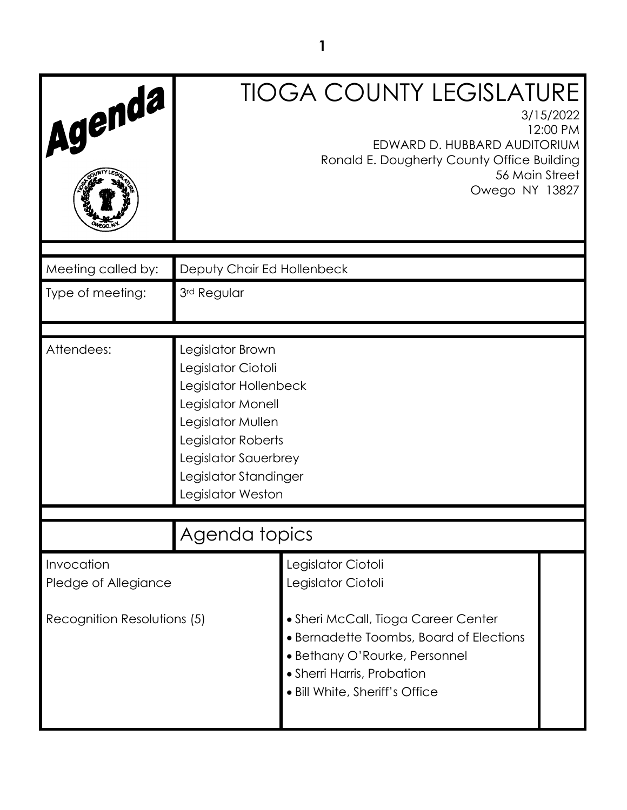| Agenda                                                            |                                                                                                                                                                                                       | <b>TIOGA COUNTY LEGISLATURE</b><br>3/15/2022<br>EDWARD D. HUBBARD AUDITORIUM<br>Ronald E. Dougherty County Office Building<br>56 Main Street<br>Owego NY 13827 | 12:00 PM |
|-------------------------------------------------------------------|-------------------------------------------------------------------------------------------------------------------------------------------------------------------------------------------------------|----------------------------------------------------------------------------------------------------------------------------------------------------------------|----------|
| Meeting called by:                                                | Deputy Chair Ed Hollenbeck                                                                                                                                                                            |                                                                                                                                                                |          |
| Type of meeting:                                                  | 3rd Regular                                                                                                                                                                                           |                                                                                                                                                                |          |
|                                                                   |                                                                                                                                                                                                       |                                                                                                                                                                |          |
| Attendees:                                                        | Legislator Brown<br>Legislator Ciotoli<br>Legislator Hollenbeck<br>Legislator Monell<br>Legislator Mullen<br>Legislator Roberts<br>Legislator Sauerbrey<br>Legislator Standinger<br>Legislator Weston |                                                                                                                                                                |          |
|                                                                   | Agenda topics                                                                                                                                                                                         |                                                                                                                                                                |          |
| Invocation<br>Pledge of Allegiance<br>Recognition Resolutions (5) |                                                                                                                                                                                                       | Legislator Ciotoli<br>Legislator Ciotoli<br>• Sheri McCall, Tioga Career Center<br>• Bernadette Toombs, Board of Elections                                     |          |
|                                                                   |                                                                                                                                                                                                       | • Bethany O'Rourke, Personnel<br>• Sherri Harris, Probation<br>• Bill White, Sheriff's Office                                                                  |          |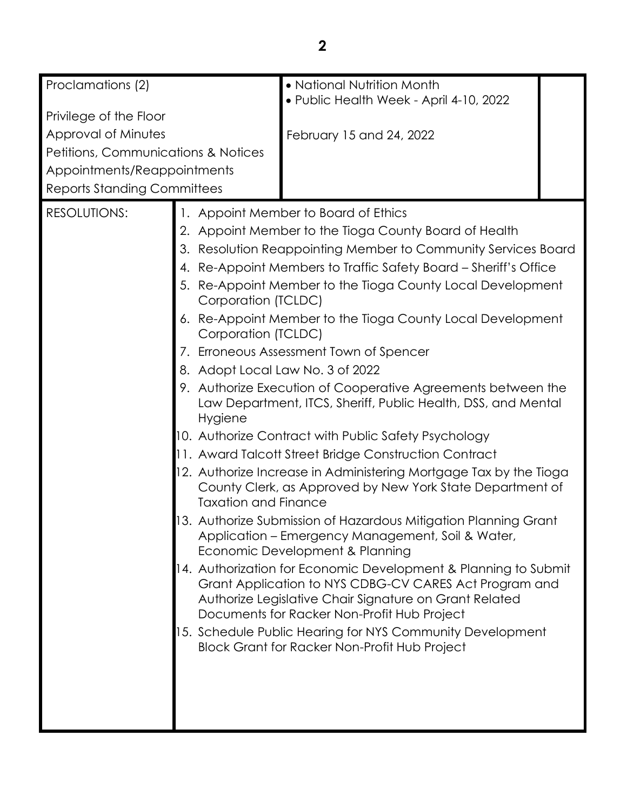| Proclamations (2)                                                                                                                                                                                                                  |                                                                                                                                                        | • National Nutrition Month                                                                                                     |  |
|------------------------------------------------------------------------------------------------------------------------------------------------------------------------------------------------------------------------------------|--------------------------------------------------------------------------------------------------------------------------------------------------------|--------------------------------------------------------------------------------------------------------------------------------|--|
| Privilege of the Floor                                                                                                                                                                                                             |                                                                                                                                                        | • Public Health Week - April 4-10, 2022                                                                                        |  |
| Approval of Minutes                                                                                                                                                                                                                |                                                                                                                                                        | February 15 and 24, 2022                                                                                                       |  |
| <b>Petitions, Communications &amp; Notices</b>                                                                                                                                                                                     |                                                                                                                                                        |                                                                                                                                |  |
| Appointments/Reappointments                                                                                                                                                                                                        |                                                                                                                                                        |                                                                                                                                |  |
| <b>Reports Standing Committees</b>                                                                                                                                                                                                 |                                                                                                                                                        |                                                                                                                                |  |
| <b>RESOLUTIONS:</b>                                                                                                                                                                                                                |                                                                                                                                                        | 1. Appoint Member to Board of Ethics                                                                                           |  |
|                                                                                                                                                                                                                                    |                                                                                                                                                        | 2. Appoint Member to the Tioga County Board of Health                                                                          |  |
|                                                                                                                                                                                                                                    |                                                                                                                                                        | 3. Resolution Reappointing Member to Community Services Board                                                                  |  |
|                                                                                                                                                                                                                                    |                                                                                                                                                        | 4. Re-Appoint Members to Traffic Safety Board - Sheriff's Office                                                               |  |
|                                                                                                                                                                                                                                    | Corporation (TCLDC)                                                                                                                                    | 5. Re-Appoint Member to the Tioga County Local Development                                                                     |  |
|                                                                                                                                                                                                                                    | Corporation (TCLDC)                                                                                                                                    | 6. Re-Appoint Member to the Tioga County Local Development                                                                     |  |
|                                                                                                                                                                                                                                    |                                                                                                                                                        | 7. Erroneous Assessment Town of Spencer                                                                                        |  |
|                                                                                                                                                                                                                                    | 8. Adopt Local Law No. 3 of 2022                                                                                                                       |                                                                                                                                |  |
|                                                                                                                                                                                                                                    |                                                                                                                                                        | 9. Authorize Execution of Cooperative Agreements between the                                                                   |  |
|                                                                                                                                                                                                                                    | Hygiene                                                                                                                                                | Law Department, ITCS, Sheriff, Public Health, DSS, and Mental                                                                  |  |
|                                                                                                                                                                                                                                    |                                                                                                                                                        | 10. Authorize Contract with Public Safety Psychology                                                                           |  |
|                                                                                                                                                                                                                                    |                                                                                                                                                        | 11. Award Talcott Street Bridge Construction Contract                                                                          |  |
|                                                                                                                                                                                                                                    | <b>Taxation and Finance</b>                                                                                                                            | 12. Authorize Increase in Administering Mortgage Tax by the Tioga<br>County Clerk, as Approved by New York State Department of |  |
|                                                                                                                                                                                                                                    | 3. Authorize Submission of Hazardous Mitigation Planning Grant<br>Application – Emergency Management, Soil & Water,<br>Economic Development & Planning |                                                                                                                                |  |
| 14. Authorization for Economic Development & Planning to Submit<br>Grant Application to NYS CDBG-CV CARES Act Program and<br>Authorize Legislative Chair Signature on Grant Related<br>Documents for Racker Non-Profit Hub Project |                                                                                                                                                        |                                                                                                                                |  |
|                                                                                                                                                                                                                                    |                                                                                                                                                        | 15. Schedule Public Hearing for NYS Community Development<br><b>Block Grant for Racker Non-Profit Hub Project</b>              |  |
|                                                                                                                                                                                                                                    |                                                                                                                                                        |                                                                                                                                |  |
|                                                                                                                                                                                                                                    |                                                                                                                                                        |                                                                                                                                |  |
|                                                                                                                                                                                                                                    |                                                                                                                                                        |                                                                                                                                |  |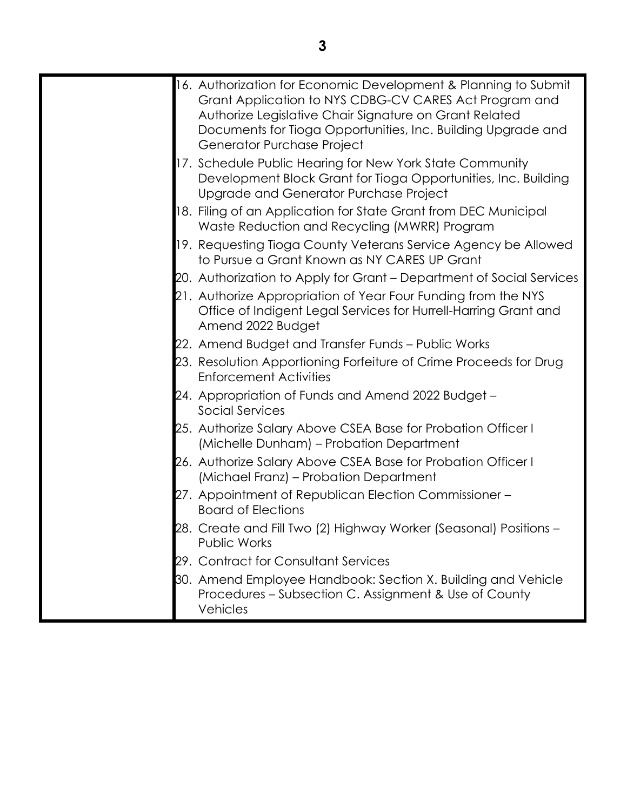| 16. Authorization for Economic Development & Planning to Submit<br>Grant Application to NYS CDBG-CV CARES Act Program and<br>Authorize Legislative Chair Signature on Grant Related<br>Documents for Tioga Opportunities, Inc. Building Upgrade and<br>Generator Purchase Project |
|-----------------------------------------------------------------------------------------------------------------------------------------------------------------------------------------------------------------------------------------------------------------------------------|
| 17. Schedule Public Hearing for New York State Community<br>Development Block Grant for Tioga Opportunities, Inc. Building<br>Upgrade and Generator Purchase Project                                                                                                              |
| 18. Filing of an Application for State Grant from DEC Municipal<br>Waste Reduction and Recycling (MWRR) Program                                                                                                                                                                   |
| 19. Requesting Tioga County Veterans Service Agency be Allowed<br>to Pursue a Grant Known as NY CARES UP Grant                                                                                                                                                                    |
| 20. Authorization to Apply for Grant – Department of Social Services                                                                                                                                                                                                              |
| 21. Authorize Appropriation of Year Four Funding from the NYS<br>Office of Indigent Legal Services for Hurrell-Harring Grant and<br>Amend 2022 Budget                                                                                                                             |
| 22. Amend Budget and Transfer Funds – Public Works                                                                                                                                                                                                                                |
| 23. Resolution Apportioning Forfeiture of Crime Proceeds for Drug<br><b>Enforcement Activities</b>                                                                                                                                                                                |
| 24. Appropriation of Funds and Amend 2022 Budget –<br>Social Services                                                                                                                                                                                                             |
| 25. Authorize Salary Above CSEA Base for Probation Officer I<br>(Michelle Dunham) – Probation Department                                                                                                                                                                          |
| 26. Authorize Salary Above CSEA Base for Probation Officer I<br>(Michael Franz) – Probation Department                                                                                                                                                                            |
| 27. Appointment of Republican Election Commissioner -<br><b>Board of Elections</b>                                                                                                                                                                                                |
| 28. Create and Fill Two (2) Highway Worker (Seasonal) Positions –<br><b>Public Works</b>                                                                                                                                                                                          |
| 29. Contract for Consultant Services                                                                                                                                                                                                                                              |
| 30. Amend Employee Handbook: Section X. Building and Vehicle<br>Procedures – Subsection C. Assignment & Use of County<br>Vehicles                                                                                                                                                 |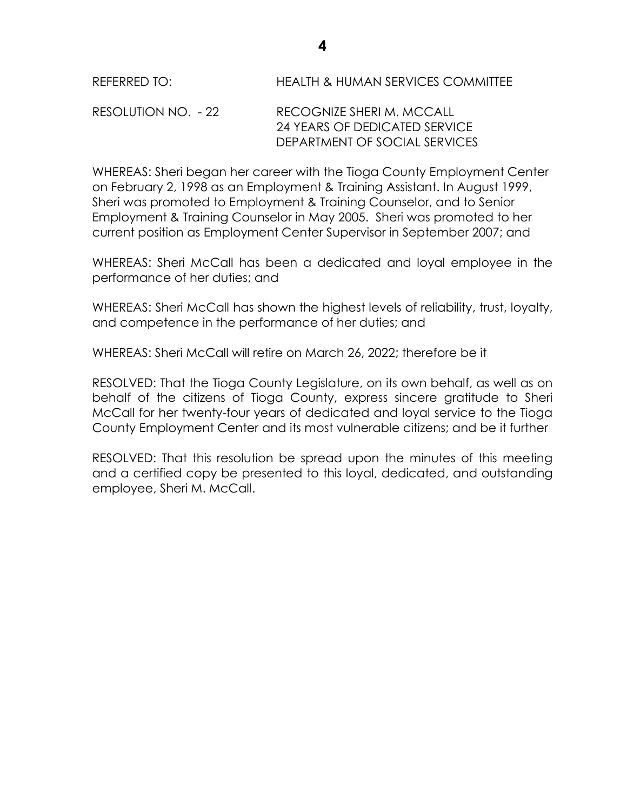| REFERRED TO: | <b>HEALTH &amp; HUMAN SERVICES COMMITTEE</b> |
|--------------|----------------------------------------------|
|              |                                              |

RESOLUTION NO. - 22 RECOGNIZE SHERI M. MCCALL 24 YEARS OF DEDICATED SERVICE DEPARTMENT OF SOCIAL SERVICES

WHEREAS: Sheri began her career with the Tioga County Employment Center on February 2, 1998 as an Employment & Training Assistant. In August 1999, Sheri was promoted to Employment & Training Counselor, and to Senior Employment & Training Counselor in May 2005. Sheri was promoted to her current position as Employment Center Supervisor in September 2007; and

WHEREAS: Sheri McCall has been a dedicated and loyal employee in the performance of her duties; and

WHEREAS: Sheri McCall has shown the highest levels of reliability, trust, loyalty, and competence in the performance of her duties; and

WHEREAS: Sheri McCall will retire on March 26, 2022; therefore be it

RESOLVED: That the Tioga County Legislature, on its own behalf, as well as on behalf of the citizens of Tioga County, express sincere gratitude to Sheri McCall for her twenty-four years of dedicated and loyal service to the Tioga County Employment Center and its most vulnerable citizens; and be it further

RESOLVED: That this resolution be spread upon the minutes of this meeting and a certified copy be presented to this loyal, dedicated, and outstanding employee, Sheri M. McCall.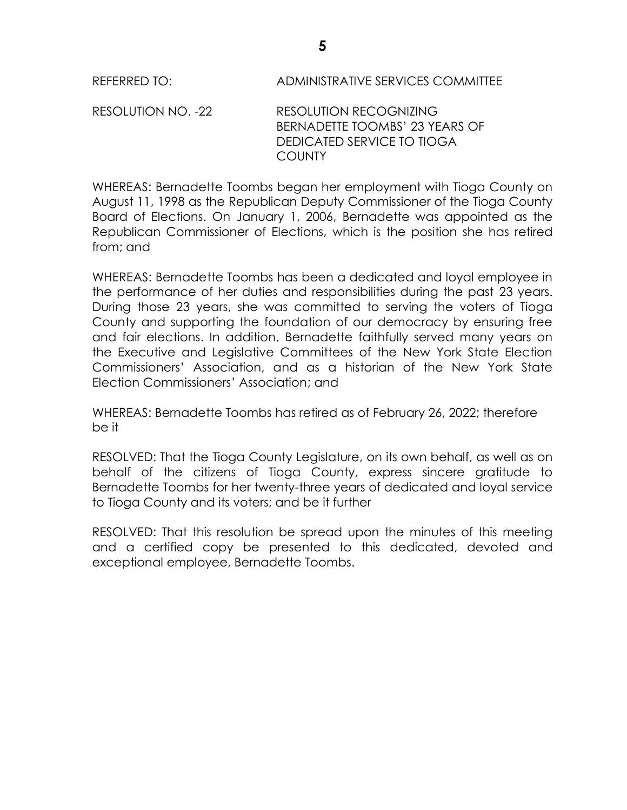RESOLUTION NO. -22 RESOLUTION RECOGNIZING BERNADETTE TOOMBS' 23 YEARS OF DEDICATED SERVICE TO TIOGA COUNTY

WHEREAS: Bernadette Toombs began her employment with Tioga County on August 11, 1998 as the Republican Deputy Commissioner of the Tioga County Board of Elections. On January 1, 2006, Bernadette was appointed as the Republican Commissioner of Elections, which is the position she has retired from; and

WHEREAS: Bernadette Toombs has been a dedicated and loyal employee in the performance of her duties and responsibilities during the past 23 years. During those 23 years, she was committed to serving the voters of Tioga County and supporting the foundation of our democracy by ensuring free and fair elections. In addition, Bernadette faithfully served many years on the Executive and Legislative Committees of the New York State Election Commissioners' Association, and as a historian of the New York State Election Commissioners' Association; and

WHEREAS: Bernadette Toombs has retired as of February 26, 2022; therefore be it

RESOLVED: That the Tioga County Legislature, on its own behalf, as well as on behalf of the citizens of Tioga County, express sincere gratitude to Bernadette Toombs for her twenty-three years of dedicated and loyal service to Tioga County and its voters; and be it further

RESOLVED: That this resolution be spread upon the minutes of this meeting and a certified copy be presented to this dedicated, devoted and exceptional employee, Bernadette Toombs.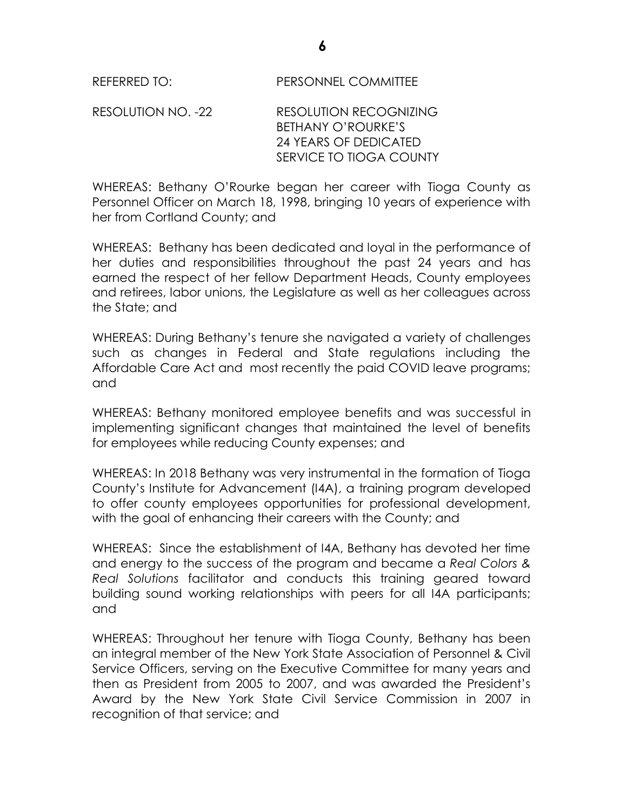RESOLUTION NO. -22 RESOLUTION RECOGNIZING BETHANY O'ROURKE'S 24 YEARS OF DEDICATED SERVICE TO TIOGA COUNTY

WHEREAS: Bethany O'Rourke began her career with Tioga County as Personnel Officer on March 18, 1998, bringing 10 years of experience with her from Cortland County; and

WHEREAS: Bethany has been dedicated and loyal in the performance of her duties and responsibilities throughout the past 24 years and has earned the respect of her fellow Department Heads, County employees and retirees, labor unions, the Legislature as well as her colleagues across the State; and

WHEREAS: During Bethany's tenure she navigated a variety of challenges such as changes in Federal and State regulations including the Affordable Care Act and most recently the paid COVID leave programs; and

WHEREAS: Bethany monitored employee benefits and was successful in implementing significant changes that maintained the level of benefits for employees while reducing County expenses; and

WHEREAS: In 2018 Bethany was very instrumental in the formation of Tioga County's Institute for Advancement (I4A), a training program developed to offer county employees opportunities for professional development, with the goal of enhancing their careers with the County; and

WHEREAS: Since the establishment of I4A, Bethany has devoted her time and energy to the success of the program and became a *Real Colors & Real Solutions* facilitator and conducts this training geared toward building sound working relationships with peers for all I4A participants; and

WHEREAS: Throughout her tenure with Tioga County, Bethany has been an integral member of the New York State Association of Personnel & Civil Service Officers, serving on the Executive Committee for many years and then as President from 2005 to 2007, and was awarded the President's Award by the New York State Civil Service Commission in 2007 in recognition of that service; and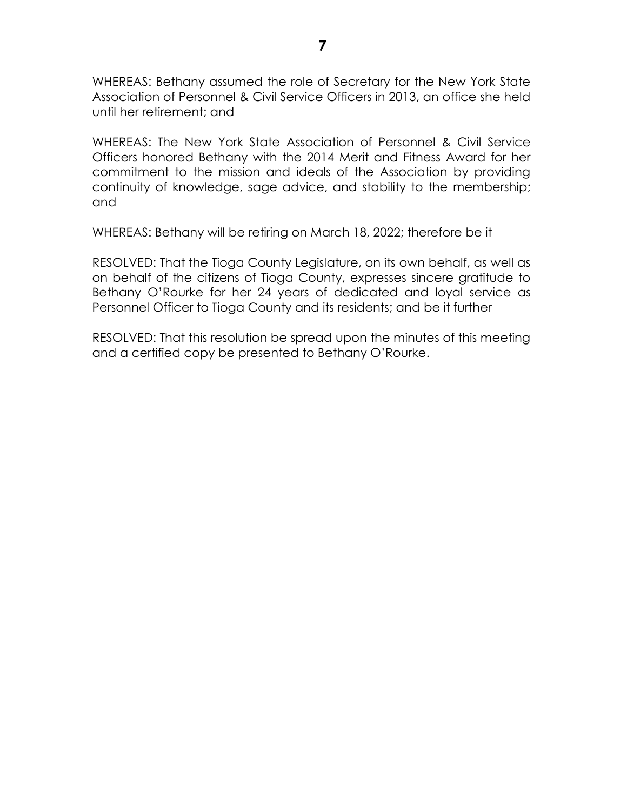WHEREAS: Bethany assumed the role of Secretary for the New York State Association of Personnel & Civil Service Officers in 2013, an office she held until her retirement; and

WHEREAS: The New York State Association of Personnel & Civil Service Officers honored Bethany with the 2014 Merit and Fitness Award for her commitment to the mission and ideals of the Association by providing continuity of knowledge, sage advice, and stability to the membership; and

WHEREAS: Bethany will be retiring on March 18, 2022; therefore be it

RESOLVED: That the Tioga County Legislature, on its own behalf, as well as on behalf of the citizens of Tioga County, expresses sincere gratitude to Bethany O'Rourke for her 24 years of dedicated and loyal service as Personnel Officer to Tioga County and its residents; and be it further

RESOLVED: That this resolution be spread upon the minutes of this meeting and a certified copy be presented to Bethany O'Rourke.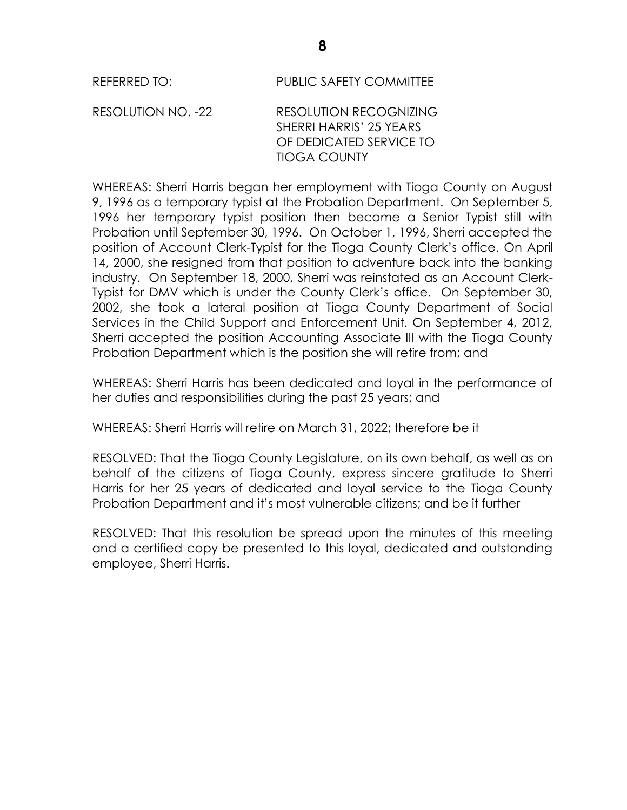REFERRED TO: PUBLIC SAFETY COMMITTEE

RESOLUTION NO. -22 RESOLUTION RECOGNIZING SHERRI HARRIS' 25 YEARS OF DEDICATED SERVICE TO TIOGA COUNTY

WHEREAS: Sherri Harris began her employment with Tioga County on August 9, 1996 as a temporary typist at the Probation Department. On September 5, 1996 her temporary typist position then became a Senior Typist still with Probation until September 30, 1996. On October 1, 1996, Sherri accepted the position of Account Clerk-Typist for the Tioga County Clerk's office. On April 14, 2000, she resigned from that position to adventure back into the banking industry. On September 18, 2000, Sherri was reinstated as an Account Clerk-Typist for DMV which is under the County Clerk's office. On September 30, 2002, she took a lateral position at Tioga County Department of Social Services in the Child Support and Enforcement Unit. On September 4, 2012, Sherri accepted the position Accounting Associate III with the Tioga County Probation Department which is the position she will retire from; and

WHEREAS: Sherri Harris has been dedicated and loyal in the performance of her duties and responsibilities during the past 25 years; and

WHEREAS: Sherri Harris will retire on March 31, 2022; therefore be it

RESOLVED: That the Tioga County Legislature, on its own behalf, as well as on behalf of the citizens of Tioga County, express sincere gratitude to Sherri Harris for her 25 years of dedicated and loyal service to the Tioga County Probation Department and it's most vulnerable citizens; and be it further

RESOLVED: That this resolution be spread upon the minutes of this meeting and a certified copy be presented to this loyal, dedicated and outstanding employee, Sherri Harris.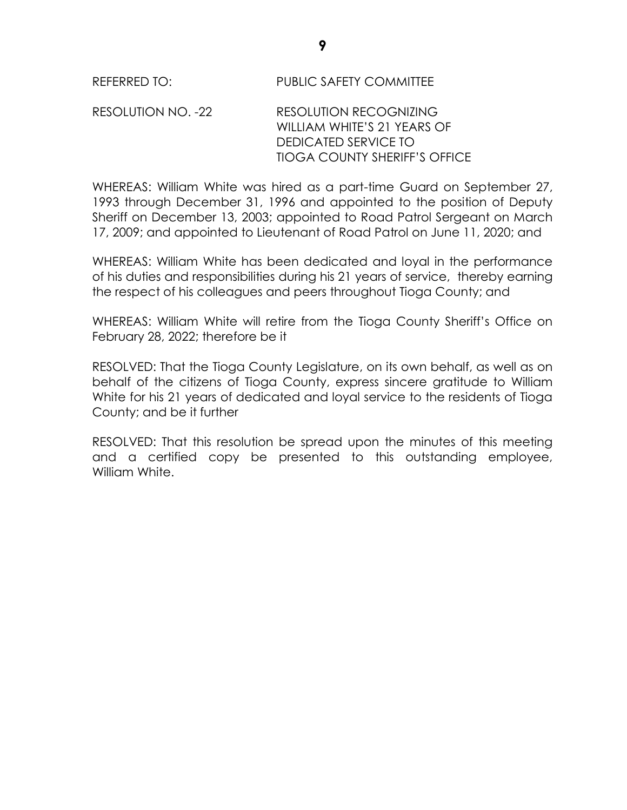RESOLUTION NO. -22 RESOLUTION RECOGNIZING WILLIAM WHITE'S 21 YEARS OF DEDICATED SERVICE TO TIOGA COUNTY SHERIFF'S OFFICE

WHEREAS: William White was hired as a part-time Guard on September 27, 1993 through December 31, 1996 and appointed to the position of Deputy Sheriff on December 13, 2003; appointed to Road Patrol Sergeant on March 17, 2009; and appointed to Lieutenant of Road Patrol on June 11, 2020; and

WHEREAS: William White has been dedicated and loyal in the performance of his duties and responsibilities during his 21 years of service, thereby earning the respect of his colleagues and peers throughout Tioga County; and

WHEREAS: William White will retire from the Tioga County Sheriff's Office on February 28, 2022; therefore be it

RESOLVED: That the Tioga County Legislature, on its own behalf, as well as on behalf of the citizens of Tioga County, express sincere gratitude to William White for his 21 years of dedicated and loyal service to the residents of Tioga County; and be it further

RESOLVED: That this resolution be spread upon the minutes of this meeting and a certified copy be presented to this outstanding employee, William White.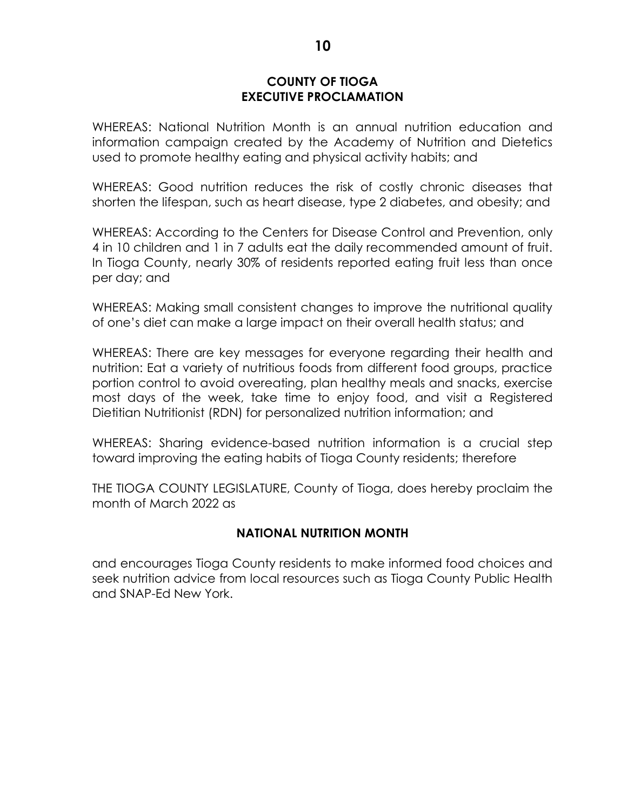### **COUNTY OF TIOGA EXECUTIVE PROCLAMATION**

WHEREAS: National Nutrition Month is an annual nutrition education and information campaign created by the Academy of Nutrition and Dietetics used to promote healthy eating and physical activity habits; and

WHEREAS: Good nutrition reduces the risk of costly chronic diseases that shorten the lifespan, such as heart disease, type 2 diabetes, and obesity; and

WHEREAS: According to the Centers for Disease Control and Prevention, only 4 in 10 children and 1 in 7 adults eat the daily recommended amount of fruit. In Tioga County, nearly 30% of residents reported eating fruit less than once per day; and

WHEREAS: Making small consistent changes to improve the nutritional quality of one's diet can make a large impact on their overall health status; and

WHEREAS: There are key messages for everyone regarding their health and nutrition: Eat a variety of nutritious foods from different food groups, practice portion control to avoid overeating, plan healthy meals and snacks, exercise most days of the week, take time to enjoy food, and visit a Registered Dietitian Nutritionist (RDN) for personalized nutrition information; and

WHEREAS: Sharing evidence-based nutrition information is a crucial step toward improving the eating habits of Tioga County residents; therefore

THE TIOGA COUNTY LEGISLATURE, County of Tioga, does hereby proclaim the month of March 2022 as

# **NATIONAL NUTRITION MONTH**

and encourages Tioga County residents to make informed food choices and seek nutrition advice from local resources such as Tioga County Public Health and SNAP-Ed New York.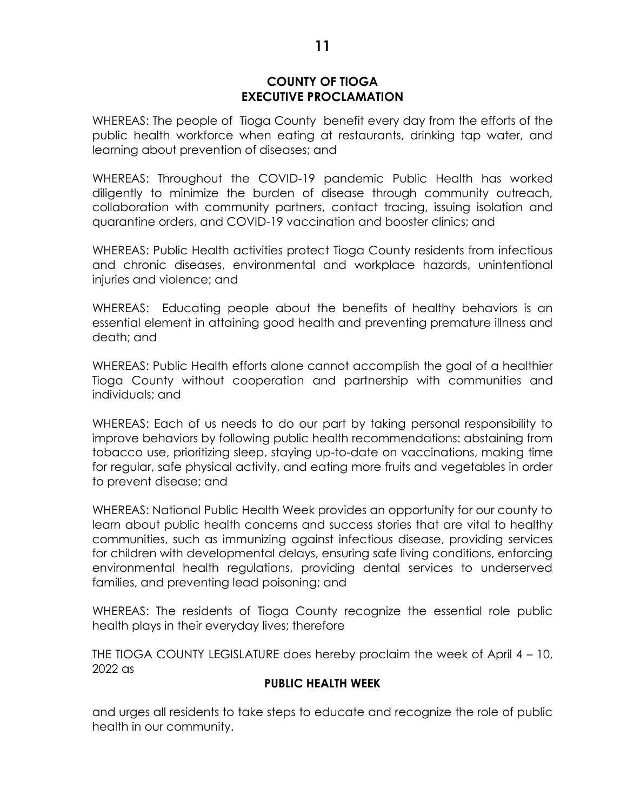### **COUNTY OF TIOGA EXECUTIVE PROCLAMATION**

WHEREAS: The people of Tioga County benefit every day from the efforts of the public health workforce when eating at restaurants, drinking tap water, and learning about prevention of diseases; and

WHEREAS: Throughout the COVID-19 pandemic Public Health has worked diligently to minimize the burden of disease through community outreach, collaboration with community partners, contact tracing, issuing isolation and quarantine orders, and COVID-19 vaccination and booster clinics; and

WHEREAS: Public Health activities protect Tioga County residents from infectious and chronic diseases, environmental and workplace hazards, unintentional injuries and violence; and

WHEREAS: Educating people about the benefits of healthy behaviors is an essential element in attaining good health and preventing premature illness and death; and

WHEREAS: Public Health efforts alone cannot accomplish the goal of a healthier Tioga County without cooperation and partnership with communities and individuals; and

WHEREAS: Each of us needs to do our part by taking personal responsibility to improve behaviors by following public health recommendations: abstaining from tobacco use, prioritizing sleep, staying up-to-date on vaccinations, making time for regular, safe physical activity, and eating more fruits and vegetables in order to prevent disease; and

WHEREAS: National Public Health Week provides an opportunity for our county to learn about public health concerns and success stories that are vital to healthy communities, such as immunizing against infectious disease, providing services for children with developmental delays, ensuring safe living conditions, enforcing environmental health regulations, providing dental services to underserved families, and preventing lead poisoning; and

WHEREAS: The residents of Tioga County recognize the essential role public health plays in their everyday lives; therefore

THE TIOGA COUNTY LEGISLATURE does hereby proclaim the week of April 4 – 10, 2022 as

### **PUBLIC HEALTH WEEK**

and urges all residents to take steps to educate and recognize the role of public health in our community.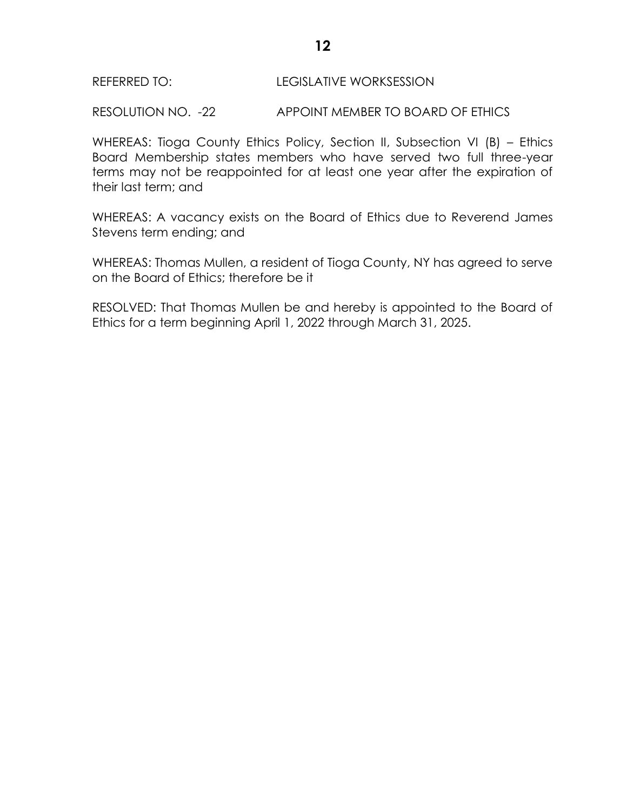### REFERRED TO: LEGISLATIVE WORKSESSION

RESOLUTION NO. -22 APPOINT MEMBER TO BOARD OF ETHICS

WHEREAS: Tioga County Ethics Policy, Section II, Subsection VI (B) – Ethics Board Membership states members who have served two full three-year terms may not be reappointed for at least one year after the expiration of their last term; and

WHEREAS: A vacancy exists on the Board of Ethics due to Reverend James Stevens term ending; and

WHEREAS: Thomas Mullen, a resident of Tioga County, NY has agreed to serve on the Board of Ethics; therefore be it

RESOLVED: That Thomas Mullen be and hereby is appointed to the Board of Ethics for a term beginning April 1, 2022 through March 31, 2025.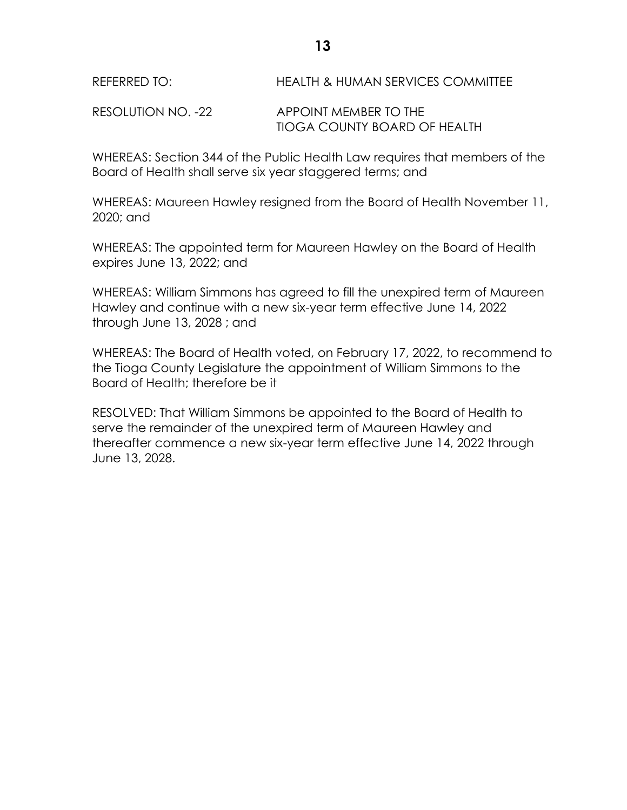RESOLUTION NO. -22 APPOINT MEMBER TO THE TIOGA COUNTY BOARD OF HEALTH

WHEREAS: Section 344 of the Public Health Law requires that members of the Board of Health shall serve six year staggered terms; and

WHEREAS: Maureen Hawley resigned from the Board of Health November 11, 2020; and

WHEREAS: The appointed term for Maureen Hawley on the Board of Health expires June 13, 2022; and

WHEREAS: William Simmons has agreed to fill the unexpired term of Maureen Hawley and continue with a new six-year term effective June 14, 2022 through June 13, 2028 ; and

WHEREAS: The Board of Health voted, on February 17, 2022, to recommend to the Tioga County Legislature the appointment of William Simmons to the Board of Health; therefore be it

RESOLVED: That William Simmons be appointed to the Board of Health to serve the remainder of the unexpired term of Maureen Hawley and thereafter commence a new six-year term effective June 14, 2022 through June 13, 2028.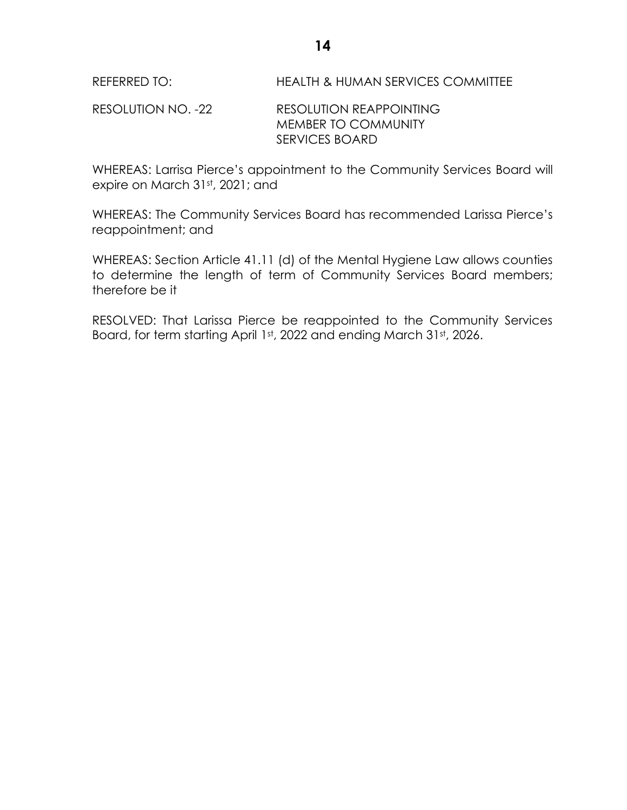RESOLUTION NO. -22 RESOLUTION REAPPOINTING MEMBER TO COMMUNITY SERVICES BOARD

WHEREAS: Larrisa Pierce's appointment to the Community Services Board will expire on March 31st, 2021; and

WHEREAS: The Community Services Board has recommended Larissa Pierce's reappointment; and

WHEREAS: Section Article 41.11 (d) of the Mental Hygiene Law allows counties to determine the length of term of Community Services Board members; therefore be it

RESOLVED: That Larissa Pierce be reappointed to the Community Services Board, for term starting April 1st, 2022 and ending March 31st, 2026.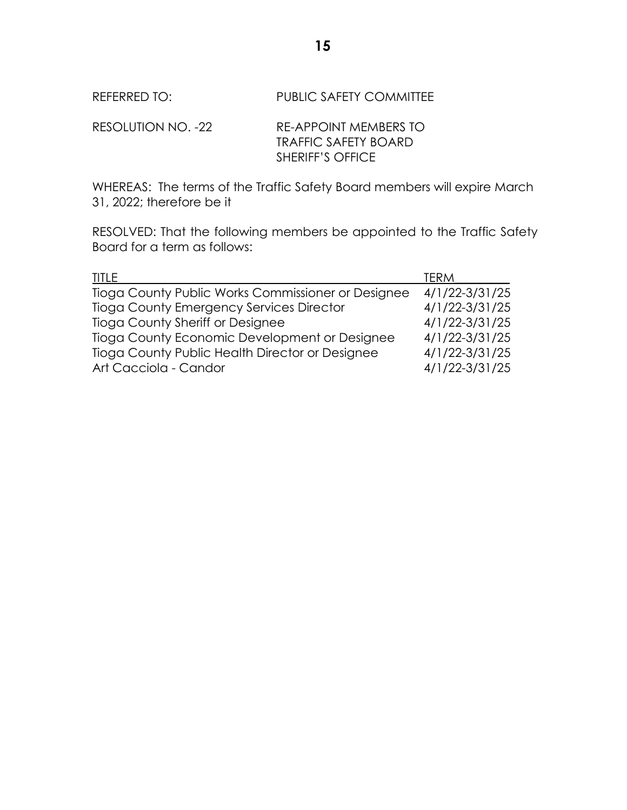| RESOLUTION NO. -22 | RE-APPOINT MEMBERS TO       |
|--------------------|-----------------------------|
|                    | <b>TRAFFIC SAFETY BOARD</b> |
|                    | <b>SHERIFF'S OFFICE</b>     |

WHEREAS: The terms of the Traffic Safety Board members will expire March 31, 2022; therefore be it

RESOLVED: That the following members be appointed to the Traffic Safety Board for a term as follows:

| <b>TITLE</b><br><b>TERM</b>                                              |  |
|--------------------------------------------------------------------------|--|
| $4/1/22 - 3/31/25$<br>Tioga County Public Works Commissioner or Designee |  |
| $4/1/22 - 3/31/25$<br><b>Tioga County Emergency Services Director</b>    |  |
| 4/1/22-3/31/25<br>Tioga County Sheriff or Designee                       |  |
| Tioga County Economic Development or Designee<br>4/1/22-3/31/25          |  |
| Tioga County Public Health Director or Designee<br>$4/1/22 - 3/31/25$    |  |
| $4/1/22 - 3/31/25$<br>Art Cacciola - Candor                              |  |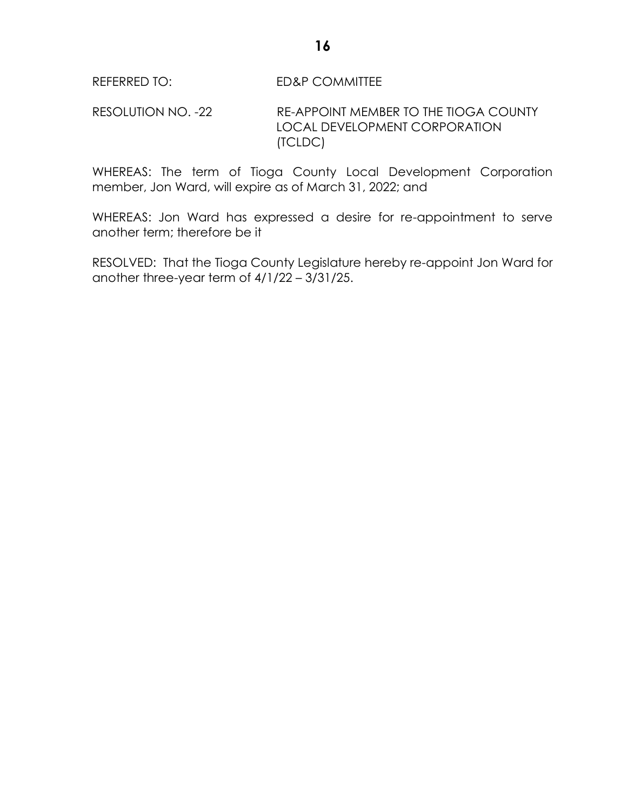RESOLUTION NO. -22 RE-APPOINT MEMBER TO THE TIOGA COUNTY LOCAL DEVELOPMENT CORPORATION (TCLDC)

WHEREAS: The term of Tioga County Local Development Corporation member, Jon Ward, will expire as of March 31, 2022; and

WHEREAS: Jon Ward has expressed a desire for re-appointment to serve another term; therefore be it

RESOLVED: That the Tioga County Legislature hereby re-appoint Jon Ward for another three-year term of 4/1/22 – 3/31/25.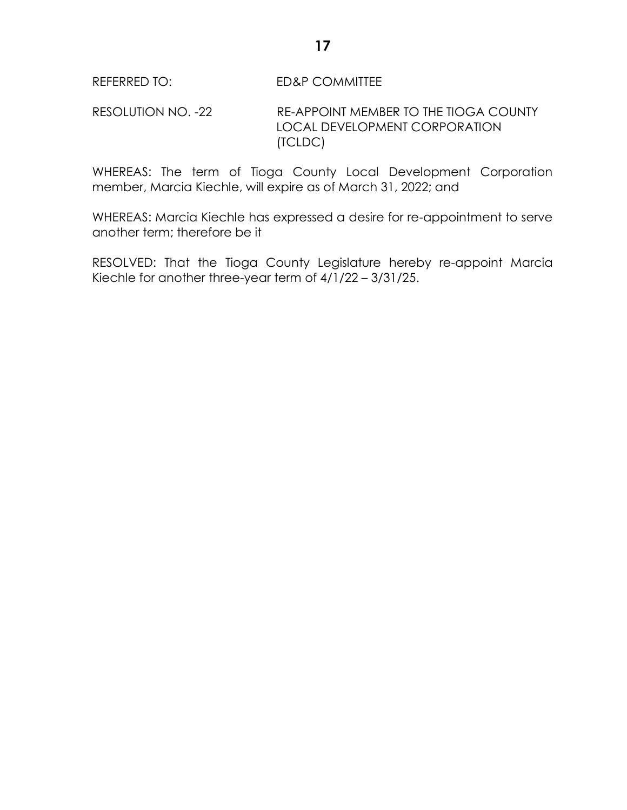RESOLUTION NO. -22 RE-APPOINT MEMBER TO THE TIOGA COUNTY LOCAL DEVELOPMENT CORPORATION (TCLDC)

WHEREAS: The term of Tioga County Local Development Corporation member, Marcia Kiechle, will expire as of March 31, 2022; and

WHEREAS: Marcia Kiechle has expressed a desire for re-appointment to serve another term; therefore be it

RESOLVED: That the Tioga County Legislature hereby re-appoint Marcia Kiechle for another three-year term of 4/1/22 – 3/31/25.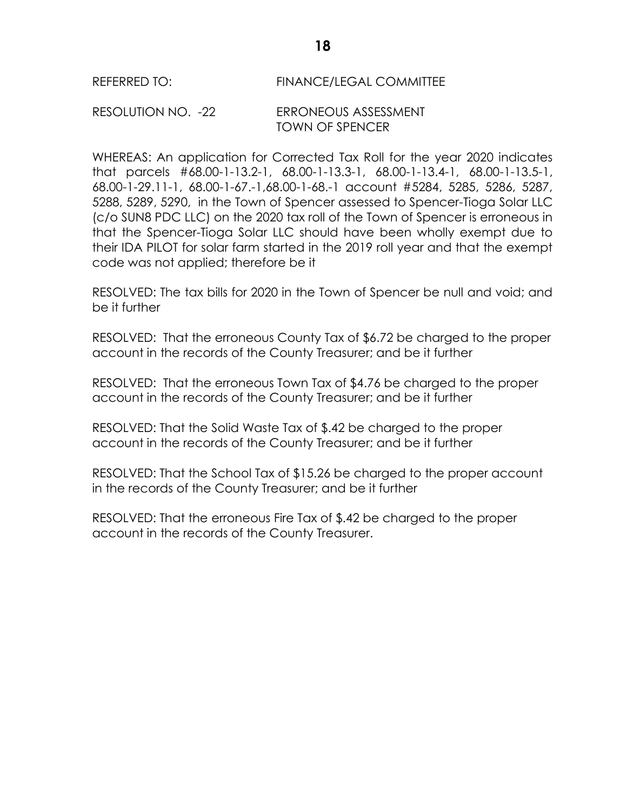## REFERRED TO: FINANCE/LEGAL COMMITTEE

### RESOLUTION NO. -22 ERRONEOUS ASSESSMENT TOWN OF SPENCER

WHEREAS: An application for Corrected Tax Roll for the year 2020 indicates that parcels #68.00-1-13.2-1, 68.00-1-13.3-1, 68.00-1-13.4-1, 68.00-1-13.5-1, 68.00-1-29.11-1, 68.00-1-67.-1,68.00-1-68.-1 account #5284, 5285, 5286, 5287, 5288, 5289, 5290, in the Town of Spencer assessed to Spencer-Tioga Solar LLC (c/o SUN8 PDC LLC) on the 2020 tax roll of the Town of Spencer is erroneous in that the Spencer-Tioga Solar LLC should have been wholly exempt due to their IDA PILOT for solar farm started in the 2019 roll year and that the exempt code was not applied; therefore be it

RESOLVED: The tax bills for 2020 in the Town of Spencer be null and void; and be it further

RESOLVED: That the erroneous County Tax of \$6.72 be charged to the proper account in the records of the County Treasurer; and be it further

RESOLVED: That the erroneous Town Tax of \$4.76 be charged to the proper account in the records of the County Treasurer; and be it further

RESOLVED: That the Solid Waste Tax of \$.42 be charged to the proper account in the records of the County Treasurer; and be it further

RESOLVED: That the School Tax of \$15.26 be charged to the proper account in the records of the County Treasurer; and be it further

RESOLVED: That the erroneous Fire Tax of \$.42 be charged to the proper account in the records of the County Treasurer.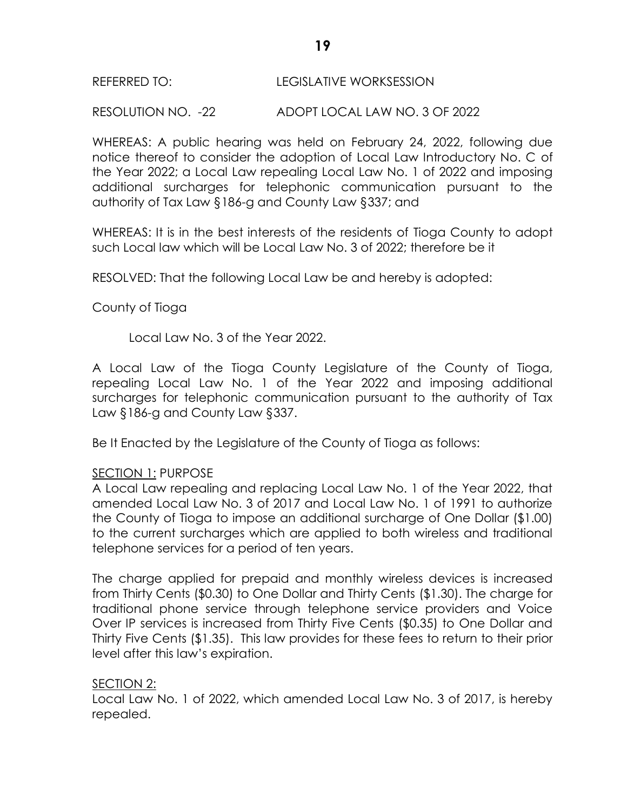### REFERRED TO: LEGISLATIVE WORKSESSION

RESOLUTION NO. -22 ADOPT LOCAL LAW NO. 3 OF 2022

WHEREAS: A public hearing was held on February 24, 2022, following due notice thereof to consider the adoption of Local Law Introductory No. C of the Year 2022; a Local Law repealing Local Law No. 1 of 2022 and imposing additional surcharges for telephonic communication pursuant to the authority of Tax Law §186-g and County Law §337; and

WHEREAS: It is in the best interests of the residents of Tioga County to adopt such Local law which will be Local Law No. 3 of 2022; therefore be it

RESOLVED: That the following Local Law be and hereby is adopted:

County of Tioga

Local Law No. 3 of the Year 2022.

A Local Law of the Tioga County Legislature of the County of Tioga, repealing Local Law No. 1 of the Year 2022 and imposing additional surcharges for telephonic communication pursuant to the authority of Tax Law §186-g and County Law §337.

Be It Enacted by the Legislature of the County of Tioga as follows:

# SECTION 1: PURPOSE

A Local Law repealing and replacing Local Law No. 1 of the Year 2022, that amended Local Law No. 3 of 2017 and Local Law No. 1 of 1991 to authorize the County of Tioga to impose an additional surcharge of One Dollar (\$1.00) to the current surcharges which are applied to both wireless and traditional telephone services for a period of ten years.

The charge applied for prepaid and monthly wireless devices is increased from Thirty Cents (\$0.30) to One Dollar and Thirty Cents (\$1.30). The charge for traditional phone service through telephone service providers and Voice Over IP services is increased from Thirty Five Cents (\$0.35) to One Dollar and Thirty Five Cents (\$1.35). This law provides for these fees to return to their prior level after this law's expiration.

# SECTION 2:

Local Law No. 1 of 2022, which amended Local Law No. 3 of 2017, is hereby repealed.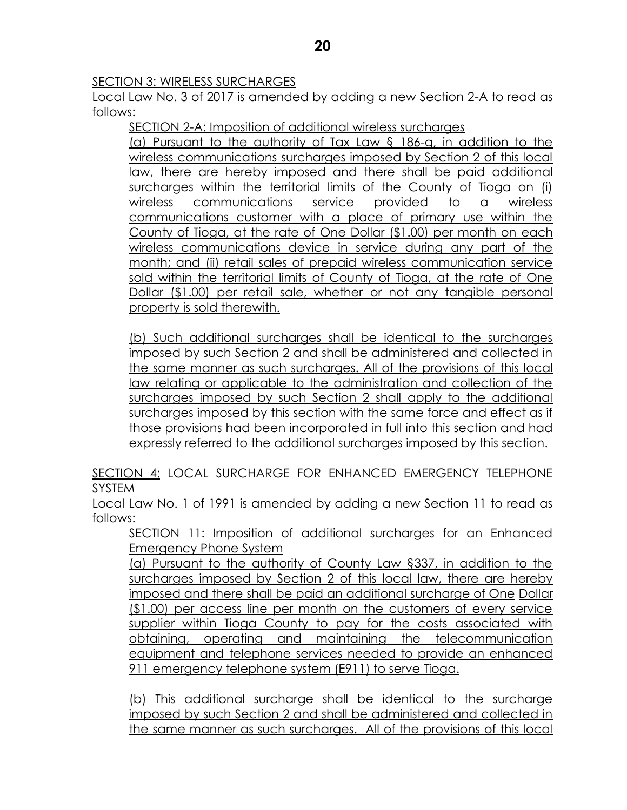## SECTION 3: WIRELESS SURCHARGES

Local Law No. 3 of 2017 is amended by adding a new Section 2-A to read as follows:

SECTION 2-A: Imposition of additional wireless surcharges

(a) Pursuant to the authority of Tax Law § 186-g, in addition to the wireless communications surcharges imposed by Section 2 of this local law, there are hereby imposed and there shall be paid additional surcharges within the territorial limits of the County of Tioga on (i) wireless communications service provided to a wireless communications customer with a place of primary use within the County of Tioga, at the rate of One Dollar (\$1.00) per month on each wireless communications device in service during any part of the month; and (ii) retail sales of prepaid wireless communication service sold within the territorial limits of County of Tioga, at the rate of One Dollar (\$1.00) per retail sale, whether or not any tangible personal property is sold therewith.

(b) Such additional surcharges shall be identical to the surcharges imposed by such Section 2 and shall be administered and collected in the same manner as such surcharges. All of the provisions of this local law relating or applicable to the administration and collection of the surcharges imposed by such Section 2 shall apply to the additional surcharges imposed by this section with the same force and effect as if those provisions had been incorporated in full into this section and had expressly referred to the additional surcharges imposed by this section.

SECTION 4: LOCAL SURCHARGE FOR ENHANCED EMERGENCY TELEPHONE SYSTEM

Local Law No. 1 of 1991 is amended by adding a new Section 11 to read as follows:

SECTION 11: Imposition of additional surcharges for an Enhanced Emergency Phone System

(a) Pursuant to the authority of County Law §337, in addition to the surcharges imposed by Section 2 of this local law, there are hereby imposed and there shall be paid an additional surcharge of One Dollar (\$1.00) per access line per month on the customers of every service supplier within Tioga County to pay for the costs associated with obtaining, operating and maintaining the telecommunication equipment and telephone services needed to provide an enhanced 911 emergency telephone system (E911) to serve Tioga.

(b) This additional surcharge shall be identical to the surcharge imposed by such Section 2 and shall be administered and collected in the same manner as such surcharges. All of the provisions of this local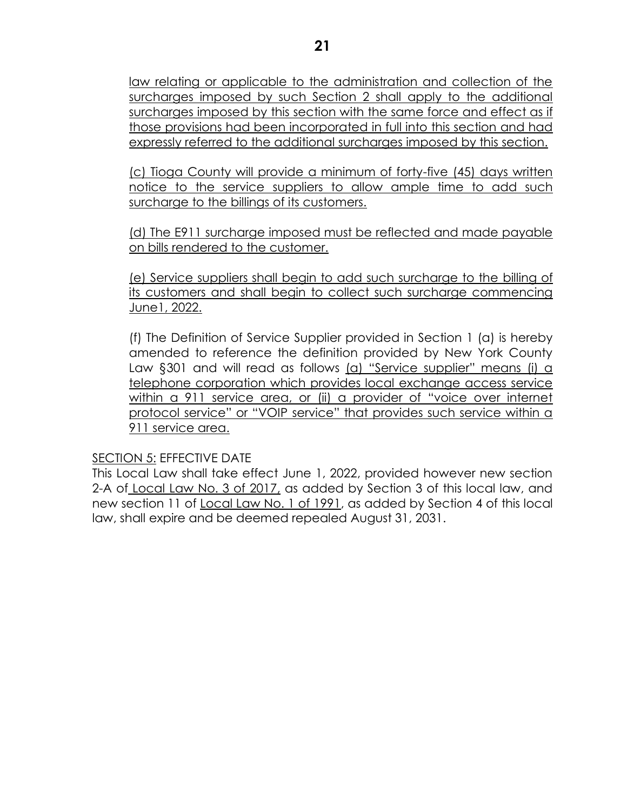law relating or applicable to the administration and collection of the surcharges imposed by such Section 2 shall apply to the additional surcharges imposed by this section with the same force and effect as if those provisions had been incorporated in full into this section and had expressly referred to the additional surcharges imposed by this section.

(c) Tioga County will provide a minimum of forty-five (45) days written notice to the service suppliers to allow ample time to add such surcharge to the billings of its customers.

(d) The E911 surcharge imposed must be reflected and made payable on bills rendered to the customer.

(e) Service suppliers shall begin to add such surcharge to the billing of its customers and shall begin to collect such surcharge commencing June1, 2022.

(f) The Definition of Service Supplier provided in Section 1 (a) is hereby amended to reference the definition provided by New York County Law §301 and will read as follows (a) "Service supplier" means (i) a telephone corporation which provides local exchange access service within a 911 service area, or (ii) a provider of "voice over internet protocol service" or "VOIP service" that provides such service within a 911 service area.

# SECTION 5: EFFECTIVE DATE

This Local Law shall take effect June 1, 2022, provided however new section 2-A of Local Law No. 3 of 2017, as added by Section 3 of this local law, and new section 11 of Local Law No. 1 of 1991, as added by Section 4 of this local law, shall expire and be deemed repealed August 31, 2031.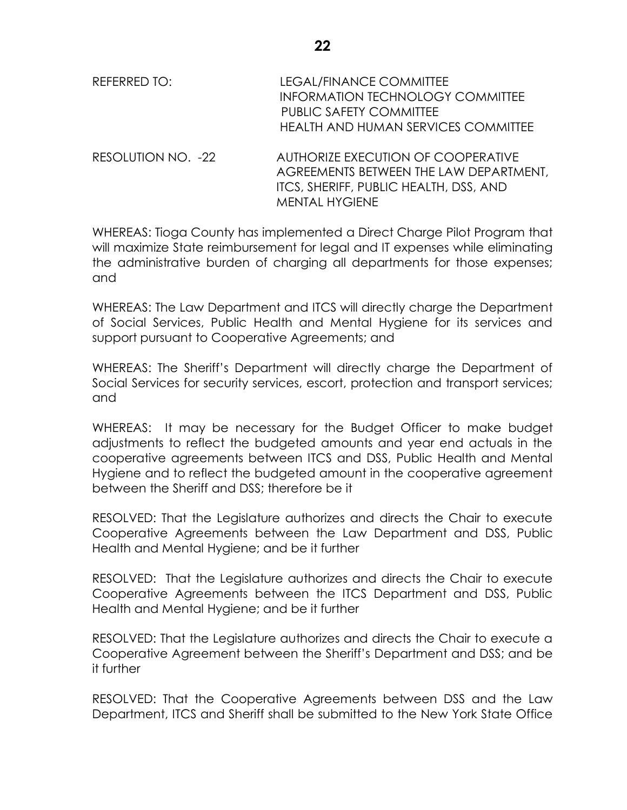| REFERRED TO:     | LEGAL/FINANCE COMMITTEE<br>INFORMATION TECHNOLOGY COMMITTEE<br>PUBLIC SAFETY COMMITTEE<br>HEALTH AND HUMAN SERVICES COMMITTEE                                                                                                                                                                                                                                                                                                                                       |
|------------------|---------------------------------------------------------------------------------------------------------------------------------------------------------------------------------------------------------------------------------------------------------------------------------------------------------------------------------------------------------------------------------------------------------------------------------------------------------------------|
| DFCOMIITLOII IOR | $\begin{array}{c} \text{A} \cup \text{B} \cup \text{C} \cap \text{D} \cup \text{C} \subset \text{C} \cup \text{C} \cup \text{C} \cup \text{C} \cup \text{C} \cup \text{C} \subset \text{C} \cup \text{C} \cap \text{C} \cap \text{C} \cap \text{C} \cup \text{C} \cup \text{C} \cup \text{C} \cup \text{C} \cup \text{C} \cup \text{C} \cup \text{C} \cup \text{C} \cup \text{C} \cup \text{C} \cup \text{C} \cup \text{C} \cup \text{C} \cup \text{C} \cup \text{$ |

RESOLUTION NO. -22 AUTHORIZE EXECUTION OF COOPERATIVE AGREEMENTS BETWEEN THE LAW DEPARTMENT, ITCS, SHERIFF, PUBLIC HEALTH, DSS, AND MENTAL HYGIENE

WHEREAS: Tioga County has implemented a Direct Charge Pilot Program that will maximize State reimbursement for legal and IT expenses while eliminating the administrative burden of charging all departments for those expenses; and

WHEREAS: The Law Department and ITCS will directly charge the Department of Social Services, Public Health and Mental Hygiene for its services and support pursuant to Cooperative Agreements; and

WHEREAS: The Sheriff's Department will directly charge the Department of Social Services for security services, escort, protection and transport services; and

WHEREAS: It may be necessary for the Budget Officer to make budget adjustments to reflect the budgeted amounts and year end actuals in the cooperative agreements between ITCS and DSS, Public Health and Mental Hygiene and to reflect the budgeted amount in the cooperative agreement between the Sheriff and DSS; therefore be it

RESOLVED: That the Legislature authorizes and directs the Chair to execute Cooperative Agreements between the Law Department and DSS, Public Health and Mental Hygiene; and be it further

RESOLVED: That the Legislature authorizes and directs the Chair to execute Cooperative Agreements between the ITCS Department and DSS, Public Health and Mental Hygiene; and be it further

RESOLVED: That the Legislature authorizes and directs the Chair to execute a Cooperative Agreement between the Sheriff's Department and DSS; and be it further

RESOLVED: That the Cooperative Agreements between DSS and the Law Department, ITCS and Sheriff shall be submitted to the New York State Office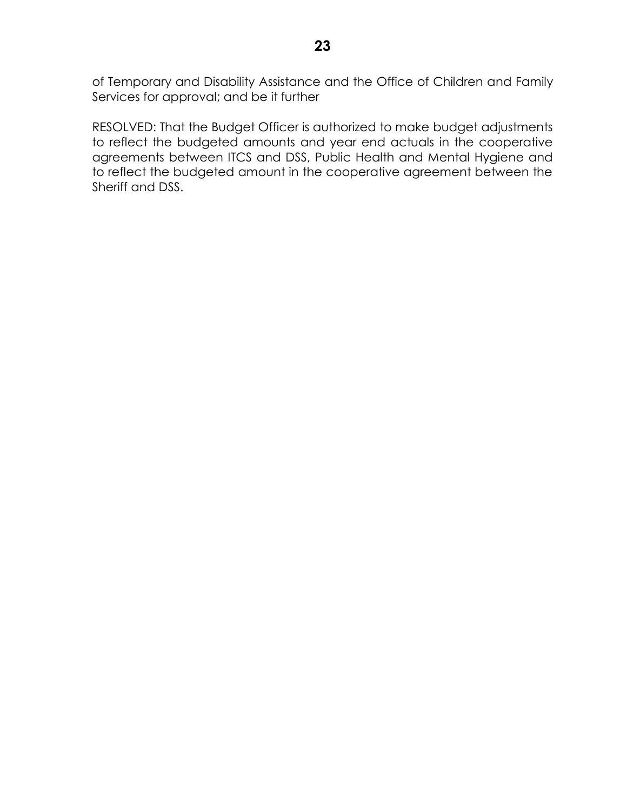of Temporary and Disability Assistance and the Office of Children and Family Services for approval; and be it further

RESOLVED: That the Budget Officer is authorized to make budget adjustments to reflect the budgeted amounts and year end actuals in the cooperative agreements between ITCS and DSS, Public Health and Mental Hygiene and to reflect the budgeted amount in the cooperative agreement between the Sheriff and DSS.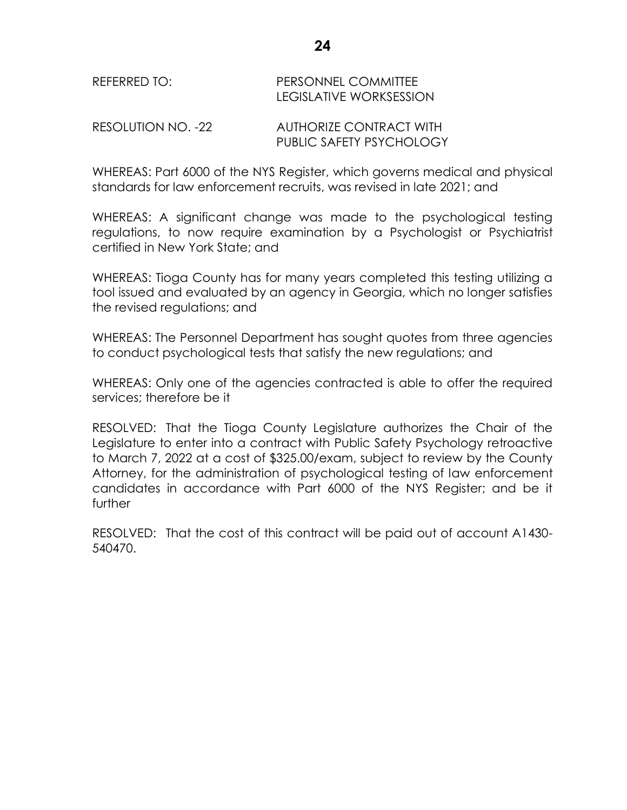| REFERRED TO: | <b>PERSONNEL COMMITTEE</b> |
|--------------|----------------------------|
|              | LEGISLATIVE WORKSESSION    |

RESOLUTION NO. -22 AUTHORIZE CONTRACT WITH PUBLIC SAFETY PSYCHOLOGY

WHEREAS: Part 6000 of the NYS Register, which governs medical and physical standards for law enforcement recruits, was revised in late 2021; and

WHEREAS: A significant change was made to the psychological testing regulations, to now require examination by a Psychologist or Psychiatrist certified in New York State; and

WHEREAS: Tioga County has for many years completed this testing utilizing a tool issued and evaluated by an agency in Georgia, which no longer satisfies the revised regulations; and

WHEREAS: The Personnel Department has sought quotes from three agencies to conduct psychological tests that satisfy the new regulations; and

WHEREAS: Only one of the agencies contracted is able to offer the required services; therefore be it

RESOLVED: That the Tioga County Legislature authorizes the Chair of the Legislature to enter into a contract with Public Safety Psychology retroactive to March 7, 2022 at a cost of \$325.00/exam, subject to review by the County Attorney, for the administration of psychological testing of law enforcement candidates in accordance with Part 6000 of the NYS Register; and be it further

RESOLVED: That the cost of this contract will be paid out of account A1430- 540470.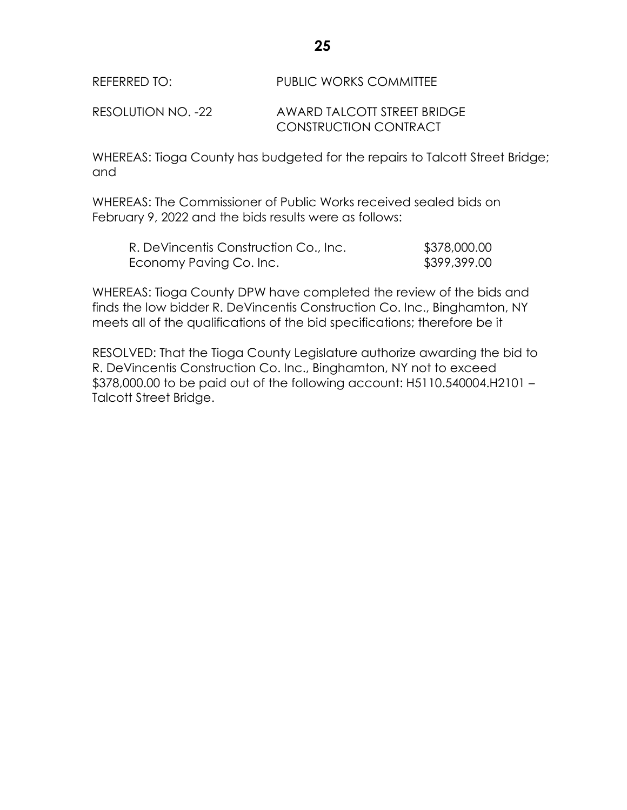RESOLUTION NO. -22 AWARD TALCOTT STREET BRIDGE CONSTRUCTION CONTRACT

WHEREAS: Tioga County has budgeted for the repairs to Talcott Street Bridge; and

WHEREAS: The Commissioner of Public Works received sealed bids on February 9, 2022 and the bids results were as follows:

| R. DeVincentis Construction Co., Inc. | \$378,000.00 |
|---------------------------------------|--------------|
| Economy Paving Co. Inc.               | \$399,399.00 |

WHEREAS: Tioga County DPW have completed the review of the bids and finds the low bidder R. DeVincentis Construction Co. Inc., Binghamton, NY meets all of the qualifications of the bid specifications; therefore be it

RESOLVED: That the Tioga County Legislature authorize awarding the bid to R. DeVincentis Construction Co. Inc., Binghamton, NY not to exceed \$378,000.00 to be paid out of the following account: H5110.540004.H2101 – Talcott Street Bridge.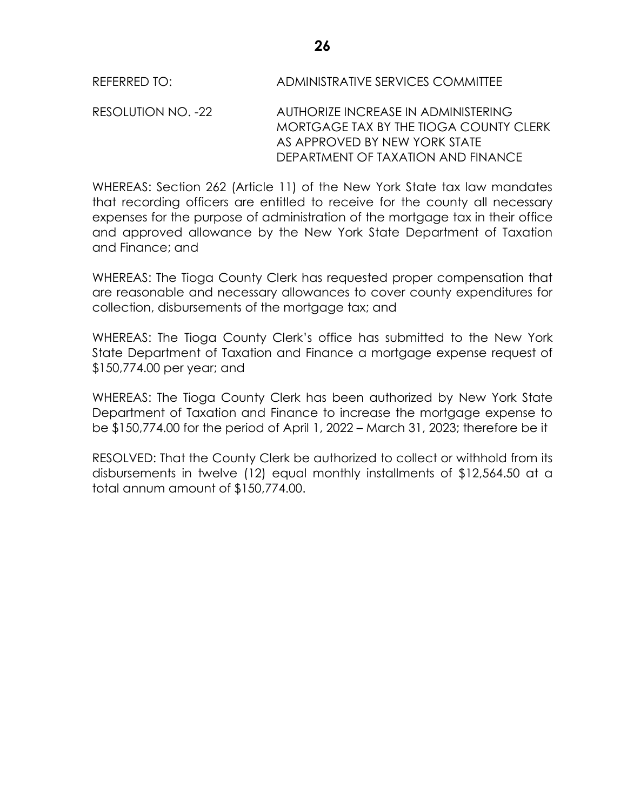RESOLUTION NO. -22 AUTHORIZE INCREASE IN ADMINISTERING MORTGAGE TAX BY THE TIOGA COUNTY CLERK AS APPROVED BY NEW YORK STATE DEPARTMENT OF TAXATION AND FINANCE

WHEREAS: Section 262 (Article 11) of the New York State tax law mandates that recording officers are entitled to receive for the county all necessary expenses for the purpose of administration of the mortgage tax in their office and approved allowance by the New York State Department of Taxation and Finance; and

WHEREAS: The Tioga County Clerk has requested proper compensation that are reasonable and necessary allowances to cover county expenditures for collection, disbursements of the mortgage tax; and

WHEREAS: The Tioga County Clerk's office has submitted to the New York State Department of Taxation and Finance a mortgage expense request of \$150,774.00 per year; and

WHEREAS: The Tioga County Clerk has been authorized by New York State Department of Taxation and Finance to increase the mortgage expense to be \$150,774.00 for the period of April 1, 2022 – March 31, 2023; therefore be it

RESOLVED: That the County Clerk be authorized to collect or withhold from its disbursements in twelve (12) equal monthly installments of \$12,564.50 at a total annum amount of \$150,774.00.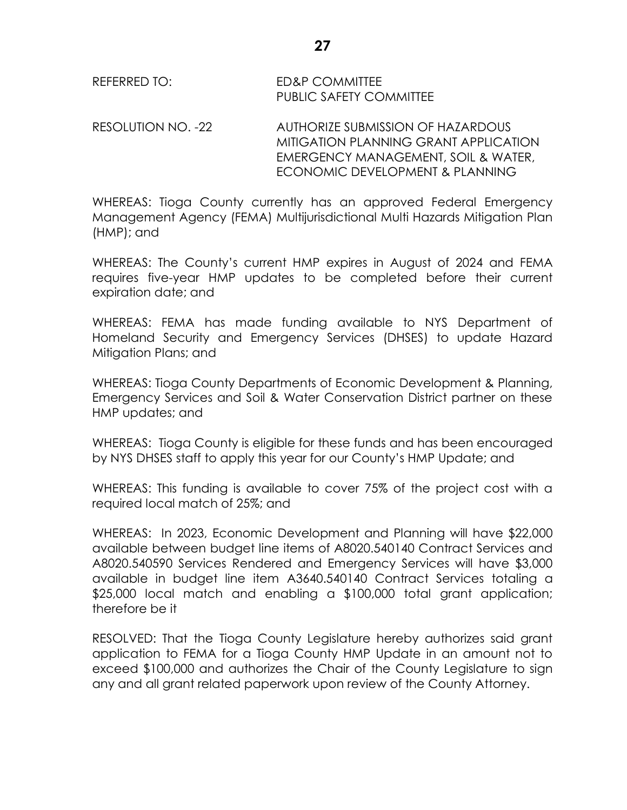REFERRED TO: ED&P COMMITTEE PUBLIC SAFETY COMMITTEE

RESOLUTION NO. -22 AUTHORIZE SUBMISSION OF HAZARDOUS MITIGATION PLANNING GRANT APPLICATION EMERGENCY MANAGEMENT, SOIL & WATER, ECONOMIC DEVELOPMENT & PLANNING

WHEREAS: Tioga County currently has an approved Federal Emergency Management Agency (FEMA) Multijurisdictional Multi Hazards Mitigation Plan (HMP); and

WHEREAS: The County's current HMP expires in August of 2024 and FEMA requires five-year HMP updates to be completed before their current expiration date; and

WHEREAS: FEMA has made funding available to NYS Department of Homeland Security and Emergency Services (DHSES) to update Hazard Mitigation Plans; and

WHEREAS: Tioga County Departments of Economic Development & Planning, Emergency Services and Soil & Water Conservation District partner on these HMP updates; and

WHEREAS: Tioga County is eligible for these funds and has been encouraged by NYS DHSES staff to apply this year for our County's HMP Update; and

WHEREAS: This funding is available to cover 75% of the project cost with a required local match of 25%; and

WHEREAS: In 2023, Economic Development and Planning will have \$22,000 available between budget line items of A8020.540140 Contract Services and A8020.540590 Services Rendered and Emergency Services will have \$3,000 available in budget line item A3640.540140 Contract Services totaling a \$25,000 local match and enabling a \$100,000 total grant application; therefore be it

RESOLVED: That the Tioga County Legislature hereby authorizes said grant application to FEMA for a Tioga County HMP Update in an amount not to exceed \$100,000 and authorizes the Chair of the County Legislature to sign any and all grant related paperwork upon review of the County Attorney.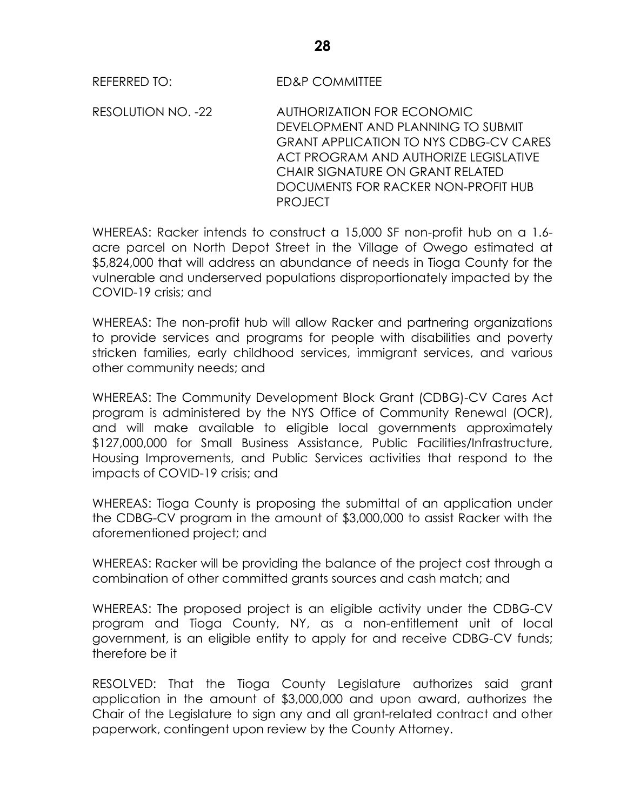RESOLUTION NO. -22 AUTHORIZATION FOR ECONOMIC DEVELOPMENT AND PLANNING TO SUBMIT GRANT APPLICATION TO NYS CDBG-CV CARES ACT PROGRAM AND AUTHORIZE LEGISLATIVE CHAIR SIGNATURE ON GRANT RELATED DOCUMENTS FOR RACKER NON-PROFIT HUB PROJECT

WHEREAS: Racker intends to construct a 15,000 SF non-profit hub on a 1.6 acre parcel on North Depot Street in the Village of Owego estimated at \$5,824,000 that will address an abundance of needs in Tioga County for the vulnerable and underserved populations disproportionately impacted by the COVID-19 crisis; and

WHEREAS: The non-profit hub will allow Racker and partnering organizations to provide services and programs for people with disabilities and poverty stricken families, early childhood services, immigrant services, and various other community needs; and

WHEREAS: The Community Development Block Grant (CDBG)-CV Cares Act program is administered by the NYS Office of Community Renewal (OCR), and will make available to eligible local governments approximately \$127,000,000 for Small Business Assistance, Public Facilities/Infrastructure, Housing Improvements, and Public Services activities that respond to the impacts of COVID-19 crisis; and

WHEREAS: Tioga County is proposing the submittal of an application under the CDBG-CV program in the amount of \$3,000,000 to assist Racker with the aforementioned project; and

WHEREAS: Racker will be providing the balance of the project cost through a combination of other committed grants sources and cash match; and

WHEREAS: The proposed project is an eligible activity under the CDBG-CV program and Tioga County, NY, as a non-entitlement unit of local government, is an eligible entity to apply for and receive CDBG-CV funds; therefore be it

RESOLVED: That the Tioga County Legislature authorizes said grant application in the amount of \$3,000,000 and upon award, authorizes the Chair of the Legislature to sign any and all grant-related contract and other paperwork, contingent upon review by the County Attorney.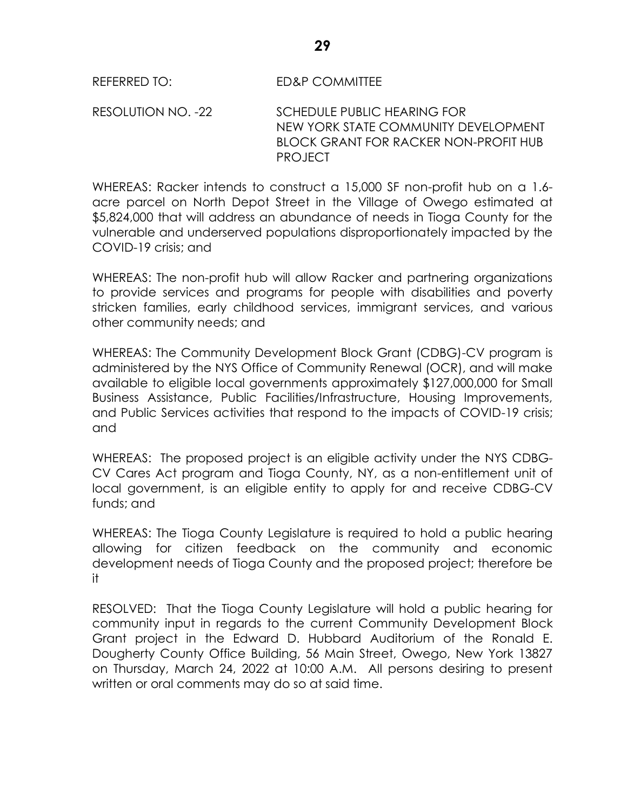RESOLUTION NO. -22 SCHEDULE PUBLIC HEARING FOR NEW YORK STATE COMMUNITY DEVELOPMENT BLOCK GRANT FOR RACKER NON-PROFIT HUB PROJECT

WHEREAS: Racker intends to construct a 15,000 SF non-profit hub on a 1.6 acre parcel on North Depot Street in the Village of Owego estimated at \$5,824,000 that will address an abundance of needs in Tioga County for the vulnerable and underserved populations disproportionately impacted by the COVID-19 crisis; and

WHEREAS: The non-profit hub will allow Racker and partnering organizations to provide services and programs for people with disabilities and poverty stricken families, early childhood services, immigrant services, and various other community needs; and

WHEREAS: The Community Development Block Grant (CDBG)-CV program is administered by the NYS Office of Community Renewal (OCR), and will make available to eligible local governments approximately \$127,000,000 for Small Business Assistance, Public Facilities/Infrastructure, Housing Improvements, and Public Services activities that respond to the impacts of COVID-19 crisis; and

WHEREAS: The proposed project is an eligible activity under the NYS CDBG-CV Cares Act program and Tioga County, NY, as a non-entitlement unit of local government, is an eligible entity to apply for and receive CDBG-CV funds; and

WHEREAS: The Tioga County Legislature is required to hold a public hearing allowing for citizen feedback on the community and economic development needs of Tioga County and the proposed project; therefore be it

RESOLVED: That the Tioga County Legislature will hold a public hearing for community input in regards to the current Community Development Block Grant project in the Edward D. Hubbard Auditorium of the Ronald E. Dougherty County Office Building, 56 Main Street, Owego, New York 13827 on Thursday, March 24, 2022 at 10:00 A.M. All persons desiring to present written or oral comments may do so at said time.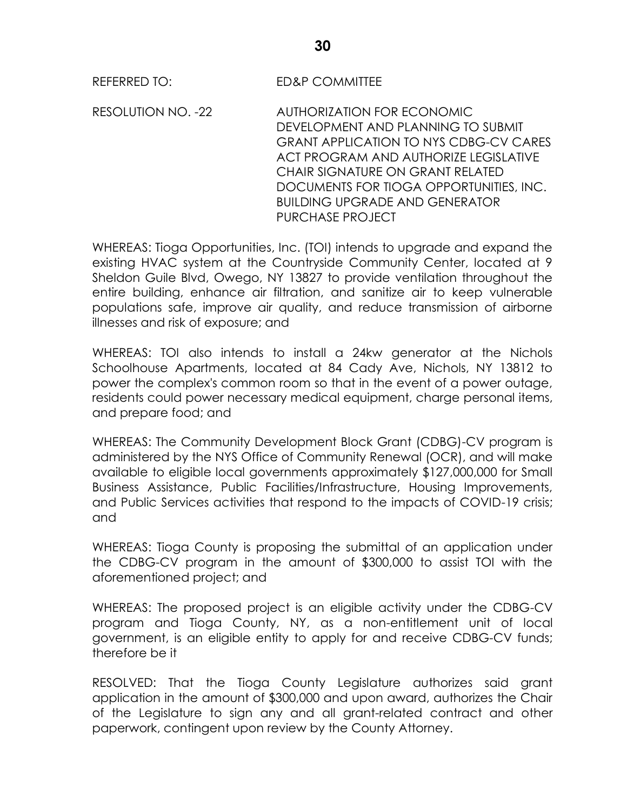RESOLUTION NO. -22 AUTHORIZATION FOR ECONOMIC DEVELOPMENT AND PLANNING TO SUBMIT GRANT APPLICATION TO NYS CDBG-CV CARES ACT PROGRAM AND AUTHORIZE LEGISLATIVE CHAIR SIGNATURE ON GRANT RELATED DOCUMENTS FOR TIOGA OPPORTUNITIES, INC. BUILDING UPGRADE AND GENERATOR PURCHASE PROJECT

WHEREAS: Tioga Opportunities, Inc. (TOI) intends to upgrade and expand the existing HVAC system at the Countryside Community Center, located at 9 Sheldon Guile Blvd, Owego, NY 13827 to provide ventilation throughout the entire building, enhance air filtration, and sanitize air to keep vulnerable populations safe, improve air quality, and reduce transmission of airborne illnesses and risk of exposure; and

WHEREAS: TOI also intends to install a 24kw generator at the Nichols Schoolhouse Apartments, located at 84 Cady Ave, Nichols, NY 13812 to power the complex's common room so that in the event of a power outage, residents could power necessary medical equipment, charge personal items, and prepare food; and

WHEREAS: The Community Development Block Grant (CDBG)-CV program is administered by the NYS Office of Community Renewal (OCR), and will make available to eligible local governments approximately \$127,000,000 for Small Business Assistance, Public Facilities/Infrastructure, Housing Improvements, and Public Services activities that respond to the impacts of COVID-19 crisis; and

WHEREAS: Tioga County is proposing the submittal of an application under the CDBG-CV program in the amount of \$300,000 to assist TOI with the aforementioned project; and

WHEREAS: The proposed project is an eligible activity under the CDBG-CV program and Tioga County, NY, as a non-entitlement unit of local government, is an eligible entity to apply for and receive CDBG-CV funds; therefore be it

RESOLVED: That the Tioga County Legislature authorizes said grant application in the amount of \$300,000 and upon award, authorizes the Chair of the Legislature to sign any and all grant-related contract and other paperwork, contingent upon review by the County Attorney.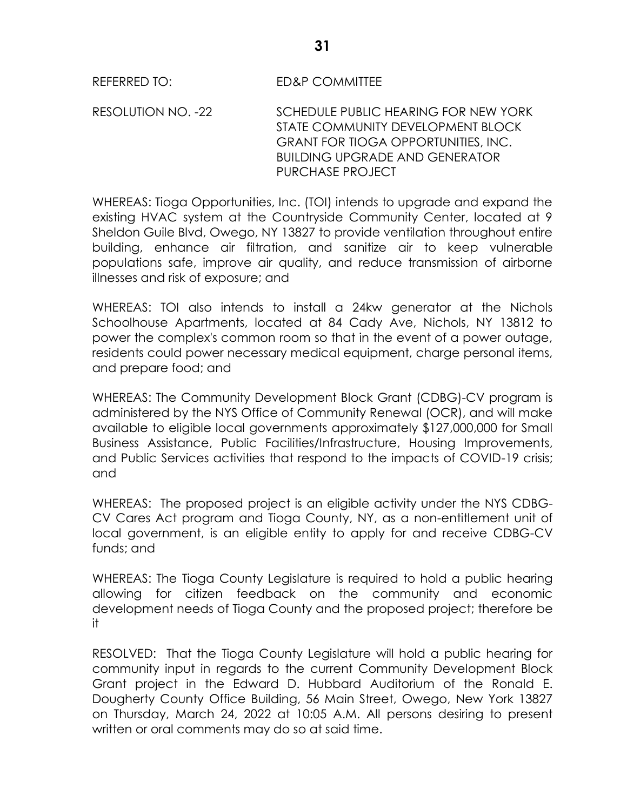RESOLUTION NO. -22 SCHEDULE PUBLIC HEARING FOR NEW YORK STATE COMMUNITY DEVELOPMENT BLOCK GRANT FOR TIOGA OPPORTUNITIES, INC. BUILDING UPGRADE AND GENERATOR PURCHASE PROJECT

WHEREAS: Tioga Opportunities, Inc. (TOI) intends to upgrade and expand the existing HVAC system at the Countryside Community Center, located at 9 Sheldon Guile Blvd, Owego, NY 13827 to provide ventilation throughout entire building, enhance air filtration, and sanitize air to keep vulnerable populations safe, improve air quality, and reduce transmission of airborne illnesses and risk of exposure; and

WHEREAS: TOI also intends to install a 24kw generator at the Nichols Schoolhouse Apartments, located at 84 Cady Ave, Nichols, NY 13812 to power the complex's common room so that in the event of a power outage, residents could power necessary medical equipment, charge personal items, and prepare food; and

WHEREAS: The Community Development Block Grant (CDBG)-CV program is administered by the NYS Office of Community Renewal (OCR), and will make available to eligible local governments approximately \$127,000,000 for Small Business Assistance, Public Facilities/Infrastructure, Housing Improvements, and Public Services activities that respond to the impacts of COVID-19 crisis; and

WHEREAS: The proposed project is an eligible activity under the NYS CDBG-CV Cares Act program and Tioga County, NY, as a non-entitlement unit of local government, is an eligible entity to apply for and receive CDBG-CV funds; and

WHEREAS: The Tioga County Legislature is required to hold a public hearing allowing for citizen feedback on the community and economic development needs of Tioga County and the proposed project; therefore be it

RESOLVED: That the Tioga County Legislature will hold a public hearing for community input in regards to the current Community Development Block Grant project in the Edward D. Hubbard Auditorium of the Ronald E. Dougherty County Office Building, 56 Main Street, Owego, New York 13827 on Thursday, March 24, 2022 at 10:05 A.M. All persons desiring to present written or oral comments may do so at said time.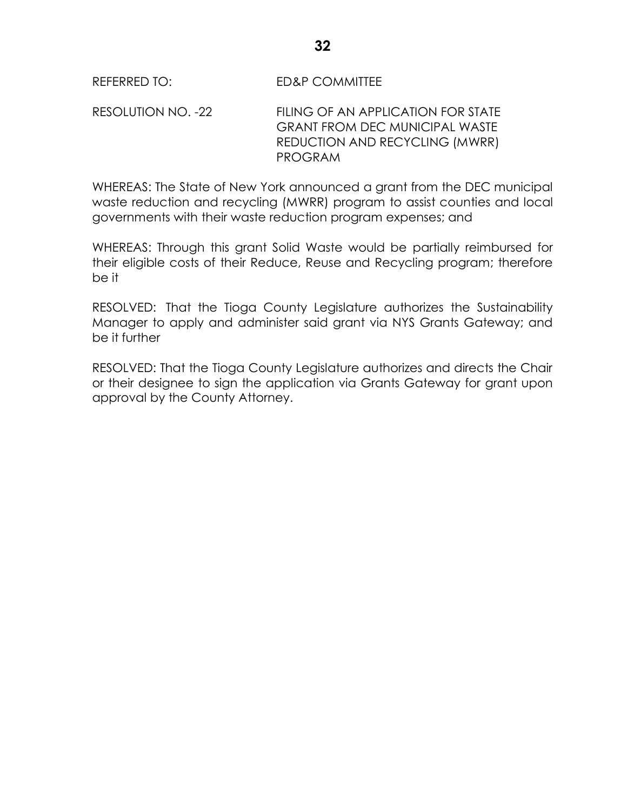RESOLUTION NO. -22 FILING OF AN APPLICATION FOR STATE GRANT FROM DEC MUNICIPAL WASTE REDUCTION AND RECYCLING (MWRR) PROGRAM

WHEREAS: The State of New York announced a grant from the DEC municipal waste reduction and recycling (MWRR) program to assist counties and local governments with their waste reduction program expenses; and

WHEREAS: Through this grant Solid Waste would be partially reimbursed for their eligible costs of their Reduce, Reuse and Recycling program; therefore be it

RESOLVED: That the Tioga County Legislature authorizes the Sustainability Manager to apply and administer said grant via NYS Grants Gateway; and be it further

RESOLVED: That the Tioga County Legislature authorizes and directs the Chair or their designee to sign the application via Grants Gateway for grant upon approval by the County Attorney.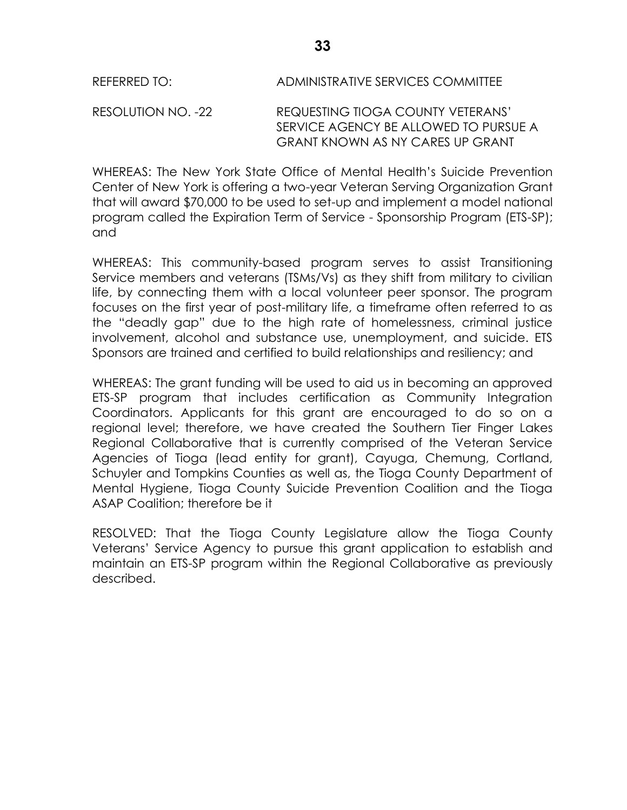RESOLUTION NO. -22 REQUESTING TIOGA COUNTY VETERANS' SERVICE AGENCY BE ALLOWED TO PURSUE A GRANT KNOWN AS NY CARES UP GRANT

WHEREAS: The New York State Office of Mental Health's Suicide Prevention Center of New York is offering a two-year Veteran Serving Organization Grant that will award \$70,000 to be used to set-up and implement a model national program called the Expiration Term of Service - Sponsorship Program (ETS-SP); and

WHEREAS: This community-based program serves to assist Transitioning Service members and veterans (TSMs/Vs) as they shift from military to civilian life, by connecting them with a local volunteer peer sponsor. The program focuses on the first year of post-military life, a timeframe often referred to as the "deadly gap" due to the high rate of homelessness, criminal justice involvement, alcohol and substance use, unemployment, and suicide. ETS Sponsors are trained and certified to build relationships and resiliency; and

WHEREAS: The grant funding will be used to aid us in becoming an approved ETS-SP program that includes certification as Community Integration Coordinators. Applicants for this grant are encouraged to do so on a regional level; therefore, we have created the Southern Tier Finger Lakes Regional Collaborative that is currently comprised of the Veteran Service Agencies of Tioga (lead entity for grant), Cayuga, Chemung, Cortland, Schuyler and Tompkins Counties as well as, the Tioga County Department of Mental Hygiene, Tioga County Suicide Prevention Coalition and the Tioga ASAP Coalition; therefore be it

RESOLVED: That the Tioga County Legislature allow the Tioga County Veterans' Service Agency to pursue this grant application to establish and maintain an ETS-SP program within the Regional Collaborative as previously described.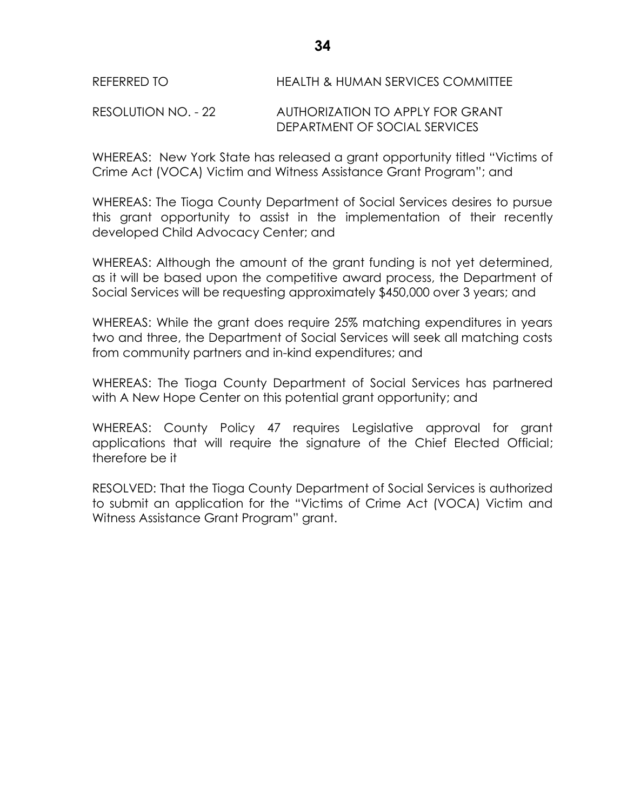RESOLUTION NO. - 22 AUTHORIZATION TO APPLY FOR GRANT DEPARTMENT OF SOCIAL SERVICES

WHEREAS: New York State has released a grant opportunity titled "Victims of Crime Act (VOCA) Victim and Witness Assistance Grant Program"; and

WHEREAS: The Tioga County Department of Social Services desires to pursue this grant opportunity to assist in the implementation of their recently developed Child Advocacy Center; and

WHEREAS: Although the amount of the grant funding is not yet determined, as it will be based upon the competitive award process, the Department of Social Services will be requesting approximately \$450,000 over 3 years; and

WHEREAS: While the grant does require 25% matching expenditures in years two and three, the Department of Social Services will seek all matching costs from community partners and in-kind expenditures; and

WHEREAS: The Tioga County Department of Social Services has partnered with A New Hope Center on this potential grant opportunity; and

WHEREAS: County Policy 47 requires Legislative approval for grant applications that will require the signature of the Chief Elected Official; therefore be it

RESOLVED: That the Tioga County Department of Social Services is authorized to submit an application for the "Victims of Crime Act (VOCA) Victim and Witness Assistance Grant Program" grant.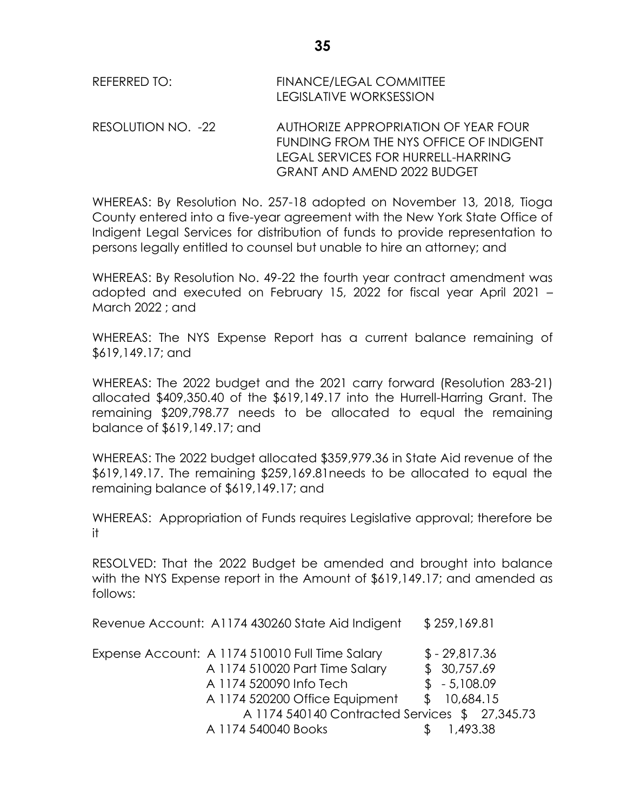| REFERRED TO: | <b>FINANCE/LEGAL COMMITTEE</b><br>LEGISLATIVE WORKSESSION |
|--------------|-----------------------------------------------------------|
|              |                                                           |

RESOLUTION NO. -22 AUTHORIZE APPROPRIATION OF YEAR FOUR FUNDING FROM THE NYS OFFICE OF INDIGENT LEGAL SERVICES FOR HURRELL-HARRING GRANT AND AMEND 2022 BUDGET

WHEREAS: By Resolution No. 257-18 adopted on November 13, 2018, Tioga County entered into a five-year agreement with the New York State Office of Indigent Legal Services for distribution of funds to provide representation to persons legally entitled to counsel but unable to hire an attorney; and

WHEREAS: By Resolution No. 49-22 the fourth year contract amendment was adopted and executed on February 15, 2022 for fiscal year April 2021 – March 2022 ; and

WHEREAS: The NYS Expense Report has a current balance remaining of \$619,149.17; and

WHEREAS: The 2022 budget and the 2021 carry forward (Resolution 283-21) allocated \$409,350.40 of the \$619,149.17 into the Hurrell-Harring Grant. The remaining \$209,798.77 needs to be allocated to equal the remaining balance of \$619,149.17; and

WHEREAS: The 2022 budget allocated \$359,979.36 in State Aid revenue of the \$619,149.17. The remaining \$259,169.81needs to be allocated to equal the remaining balance of \$619,149.17; and

WHEREAS: Appropriation of Funds requires Legislative approval; therefore be it

RESOLVED: That the 2022 Budget be amended and brought into balance with the NYS Expense report in the Amount of \$619,149.17; and amended as follows:

| Revenue Account: A1174 430260 State Aid Indigent | \$259,169.81  |
|--------------------------------------------------|---------------|
| Expense Account: A 1174 510010 Full Time Salary  | $$-29,817.36$ |
| A 1174 510020 Part Time Salary                   | \$30,757.69   |
| A 1174 520090 Info Tech                          | $$ -5,108.09$ |
| A 1174 520200 Office Equipment                   | \$10,684.15   |
| A 1174 540140 Contracted Services \$27,345.73    |               |
| A 1174 540040 Books                              | 1,493.38      |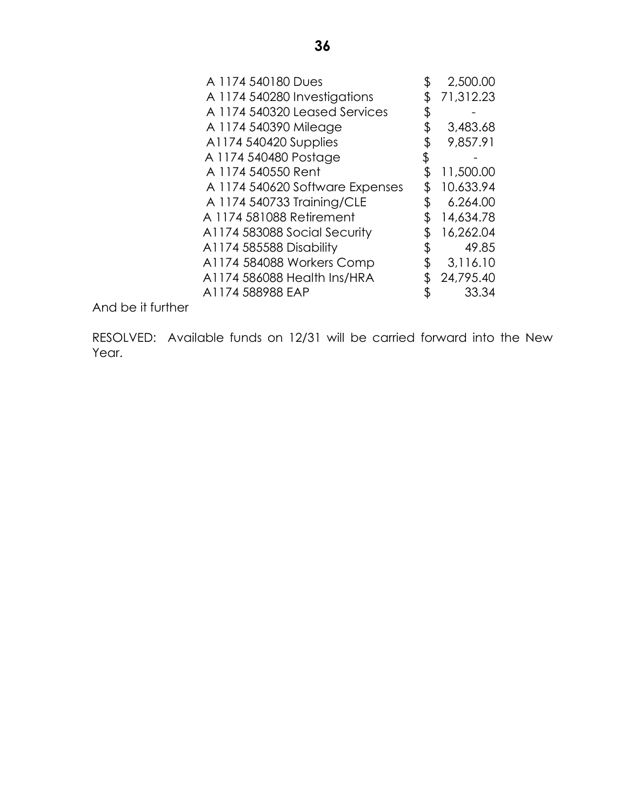| \$<br>2,500.00  |
|-----------------|
| 71,312.23       |
| \$              |
| \$<br>3,483.68  |
| 9,857.91        |
|                 |
| \$<br>11,500.00 |
| \$<br>10.633.94 |
| \$<br>6.264.00  |
| 14,634.78       |
| 16,262.04       |
| \$<br>49.85     |
| \$<br>3,116.10  |
| 24,795.40       |
| \$<br>33.34     |
|                 |

And be it further

RESOLVED: Available funds on 12/31 will be carried forward into the New Year.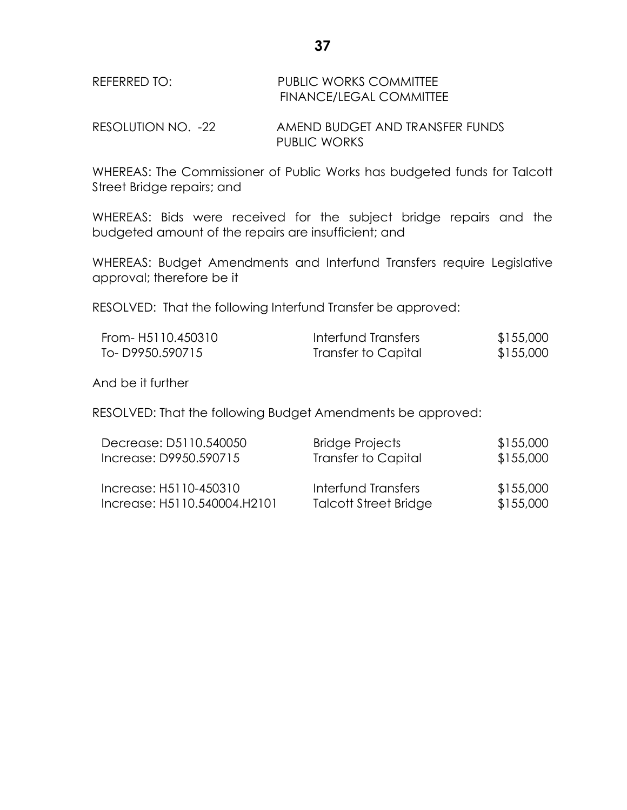| REFERRED TO: | PUBLIC WORKS COMMITTEE         |
|--------------|--------------------------------|
|              | <b>FINANCE/LEGAL COMMITTEE</b> |

RESOLUTION NO. -22 AMEND BUDGET AND TRANSFER FUNDS PUBLIC WORKS

WHEREAS: The Commissioner of Public Works has budgeted funds for Talcott Street Bridge repairs; and

WHEREAS: Bids were received for the subject bridge repairs and the budgeted amount of the repairs are insufficient; and

WHEREAS: Budget Amendments and Interfund Transfers require Legislative approval; therefore be it

RESOLVED: That the following Interfund Transfer be approved:

| From- H5110.450310 | Interfund Transfers | \$155,000 |
|--------------------|---------------------|-----------|
| To-D9950.590715    | Transfer to Capital | \$155,000 |

And be it further

RESOLVED: That the following Budget Amendments be approved:

| Decrease: D5110.540050       | <b>Bridge Projects</b>       | \$155,000 |
|------------------------------|------------------------------|-----------|
| Increase: D9950.590715       | <b>Transfer to Capital</b>   | \$155,000 |
| Increase: H5110-450310       | Interfund Transfers          | \$155,000 |
| Increase: H5110.540004.H2101 | <b>Talcott Street Bridge</b> | \$155,000 |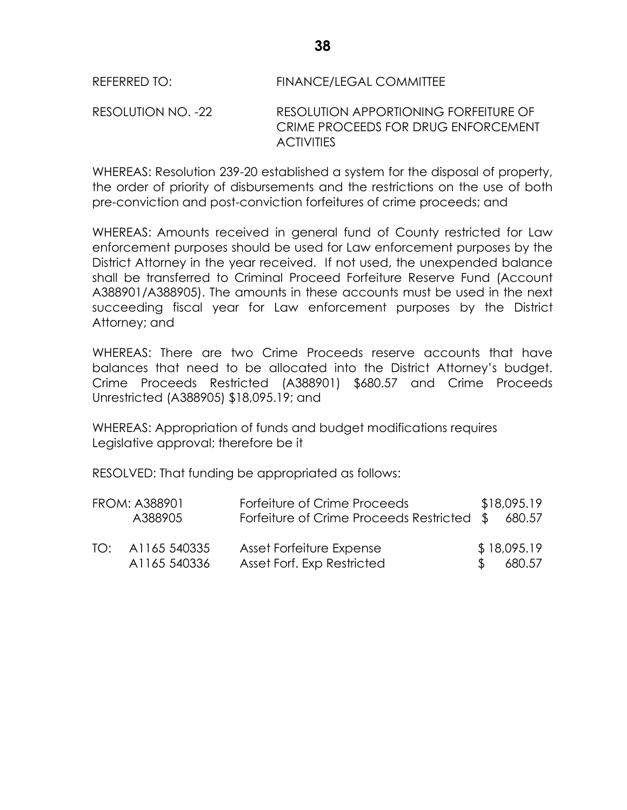RESOLUTION NO. -22 RESOLUTION APPORTIONING FORFEITURE OF CRIME PROCEEDS FOR DRUG ENFORCEMENT **ACTIVITIES** 

WHEREAS: Resolution 239-20 established a system for the disposal of property, the order of priority of disbursements and the restrictions on the use of both pre-conviction and post-conviction forfeitures of crime proceeds; and

WHEREAS: Amounts received in general fund of County restricted for Law enforcement purposes should be used for Law enforcement purposes by the District Attorney in the year received. If not used, the unexpended balance shall be transferred to Criminal Proceed Forfeiture Reserve Fund (Account A388901/A388905). The amounts in these accounts must be used in the next succeeding fiscal year for Law enforcement purposes by the District Attorney; and

WHEREAS: There are two Crime Proceeds reserve accounts that have balances that need to be allocated into the District Attorney's budget. Crime Proceeds Restricted (A388901) \$680.57 and Crime Proceeds Unrestricted (A388905) \$18,095.19; and

WHEREAS: Appropriation of funds and budget modifications requires Legislative approval; therefore be it

RESOLVED: That funding be appropriated as follows:

| <b>FROM: A388901</b><br>A388905  | Forfeiture of Crime Proceeds<br>Forfeiture of Crime Proceeds Restricted \$60.57 |               | \$18,095.19           |
|----------------------------------|---------------------------------------------------------------------------------|---------------|-----------------------|
| TO: A1165 540335<br>A1165 540336 | Asset Forfeiture Expense<br>Asset Forf. Exp Restricted                          | $\mathcal{S}$ | \$18,095.19<br>680.57 |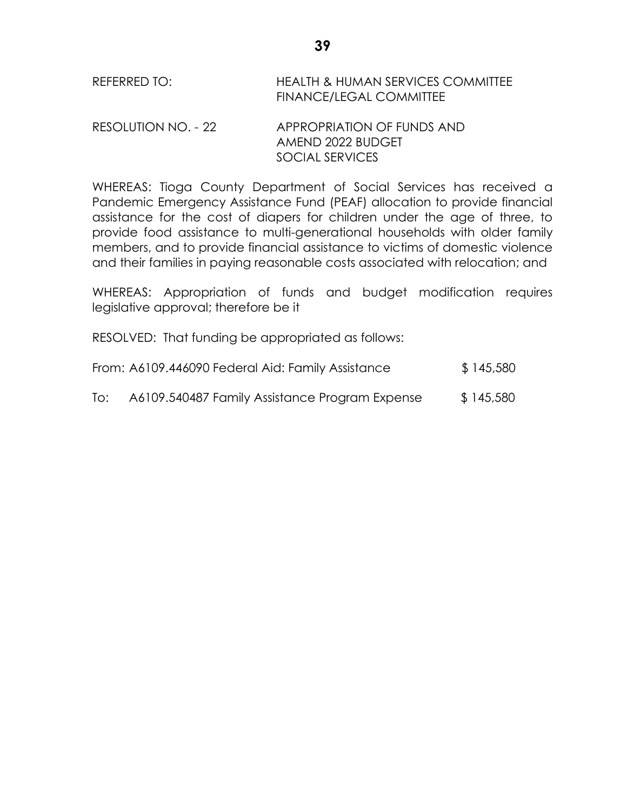| REFERRED TO: | <b>HEALTH &amp; HUMAN SERVICES COMMITTEE</b> |
|--------------|----------------------------------------------|
|              | FINANCE/LEGAL COMMITTEE                      |

## RESOLUTION NO. - 22 APPROPRIATION OF FUNDS AND AMEND 2022 BUDGET SOCIAL SERVICES

WHEREAS: Tioga County Department of Social Services has received a Pandemic Emergency Assistance Fund (PEAF) allocation to provide financial assistance for the cost of diapers for children under the age of three, to provide food assistance to multi-generational households with older family members, and to provide financial assistance to victims of domestic violence and their families in paying reasonable costs associated with relocation; and

WHEREAS: Appropriation of funds and budget modification requires legislative approval; therefore be it

RESOLVED: That funding be appropriated as follows:

| From: A6109.446090 Federal Aid: Family Assistance | \$145,580 |
|---------------------------------------------------|-----------|
|                                                   |           |

To: A6109.540487 Family Assistance Program Expense \$145,580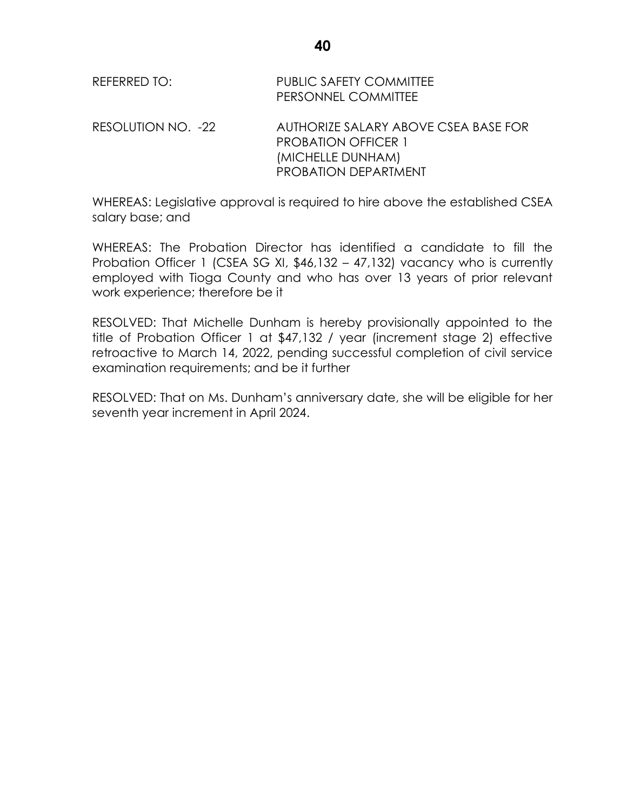| REFERRED TO:       | <b>PUBLIC SAFETY COMMITTEE</b><br>PERSONNEL COMMITTEE                                                                  |
|--------------------|------------------------------------------------------------------------------------------------------------------------|
| RESOLUTION NO. -22 | AUTHORIZE SALARY ABOVE CSEA BASE FOR<br><b>PROBATION OFFICER 1</b><br>(MICHELLE DUNHAM)<br><b>PROBATION DEPARTMENT</b> |

WHEREAS: Legislative approval is required to hire above the established CSEA salary base; and

WHEREAS: The Probation Director has identified a candidate to fill the Probation Officer 1 (CSEA SG XI, \$46,132 – 47,132) vacancy who is currently employed with Tioga County and who has over 13 years of prior relevant work experience; therefore be it

RESOLVED: That Michelle Dunham is hereby provisionally appointed to the title of Probation Officer 1 at \$47,132 / year (increment stage 2) effective retroactive to March 14, 2022, pending successful completion of civil service examination requirements; and be it further

RESOLVED: That on Ms. Dunham's anniversary date, she will be eligible for her seventh year increment in April 2024.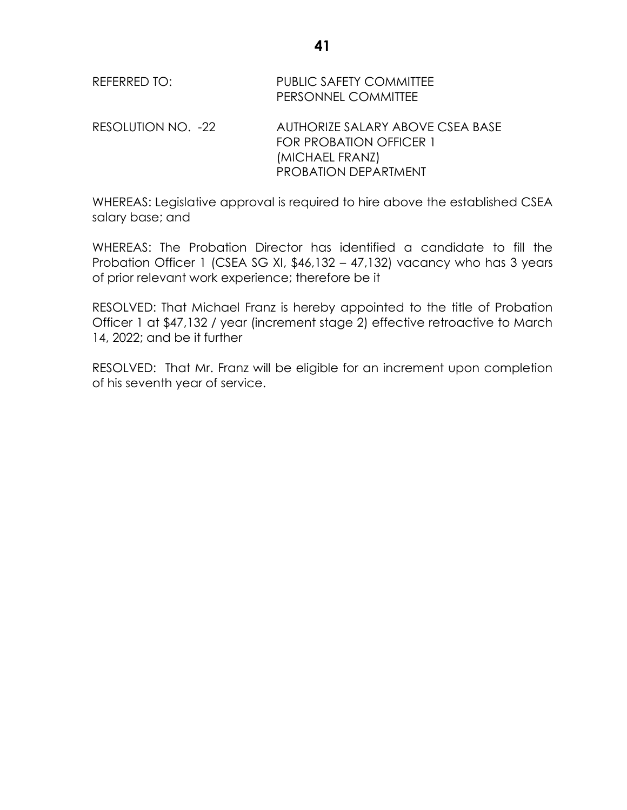| REFERRED TO:       | <b>PUBLIC SAFETY COMMITTEE</b><br>PERSONNEL COMMITTEE                                                                |
|--------------------|----------------------------------------------------------------------------------------------------------------------|
| RESOLUTION NO. -22 | AUTHORIZE SALARY ABOVE CSEA BASE<br><b>FOR PROBATION OFFICER 1</b><br>(MICHAEL FRANZ)<br><b>PROBATION DEPARTMENT</b> |

WHEREAS: Legislative approval is required to hire above the established CSEA salary base; and

WHEREAS: The Probation Director has identified a candidate to fill the Probation Officer 1 (CSEA SG XI, \$46,132 – 47,132) vacancy who has 3 years of prior relevant work experience; therefore be it

RESOLVED: That Michael Franz is hereby appointed to the title of Probation Officer 1 at \$47,132 / year (increment stage 2) effective retroactive to March 14, 2022; and be it further

RESOLVED: That Mr. Franz will be eligible for an increment upon completion of his seventh year of service.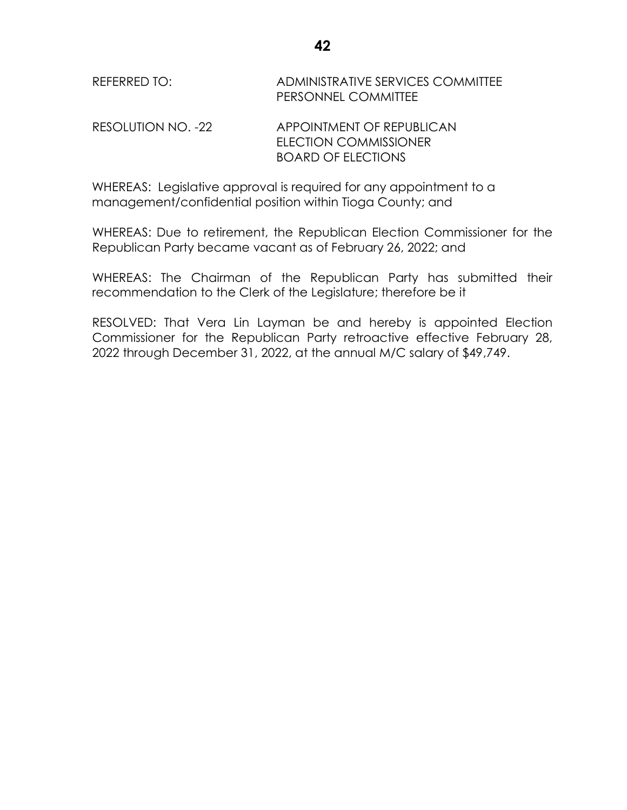|              | <b>PERSONNEL COMMITTEE</b>        |
|--------------|-----------------------------------|
| REFERRED TO: | ADMINISTRATIVE SERVICES COMMITTEE |

RESOLUTION NO. -22 APPOINTMENT OF REPUBLICAN ELECTION COMMISSIONER BOARD OF ELECTIONS

WHEREAS: Legislative approval is required for any appointment to a management/confidential position within Tioga County; and

WHEREAS: Due to retirement, the Republican Election Commissioner for the Republican Party became vacant as of February 26, 2022; and

WHEREAS: The Chairman of the Republican Party has submitted their recommendation to the Clerk of the Legislature; therefore be it

RESOLVED: That Vera Lin Layman be and hereby is appointed Election Commissioner for the Republican Party retroactive effective February 28, 2022 through December 31, 2022, at the annual M/C salary of \$49,749.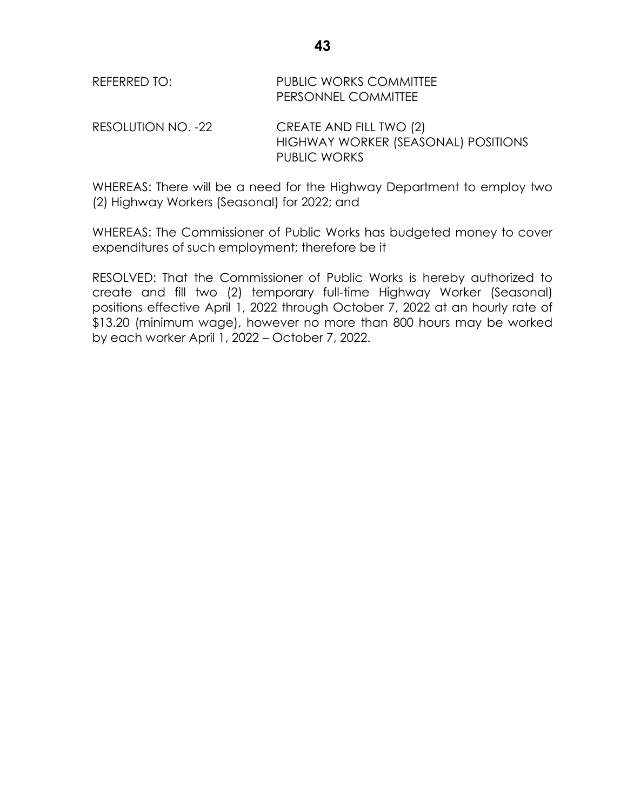| REFERRED TO: | <b>PUBLIC WORKS COMMITTEE</b> |
|--------------|-------------------------------|
|              | <b>PERSONNEL COMMITTEE</b>    |

RESOLUTION NO. -22 CREATE AND FILL TWO (2) HIGHWAY WORKER (SEASONAL) POSITIONS PUBLIC WORKS

WHEREAS: There will be a need for the Highway Department to employ two (2) Highway Workers (Seasonal) for 2022; and

WHEREAS: The Commissioner of Public Works has budgeted money to cover expenditures of such employment; therefore be it

RESOLVED: That the Commissioner of Public Works is hereby authorized to create and fill two (2) temporary full-time Highway Worker (Seasonal) positions effective April 1, 2022 through October 7, 2022 at an hourly rate of \$13.20 (minimum wage), however no more than 800 hours may be worked by each worker April 1, 2022 – October 7, 2022.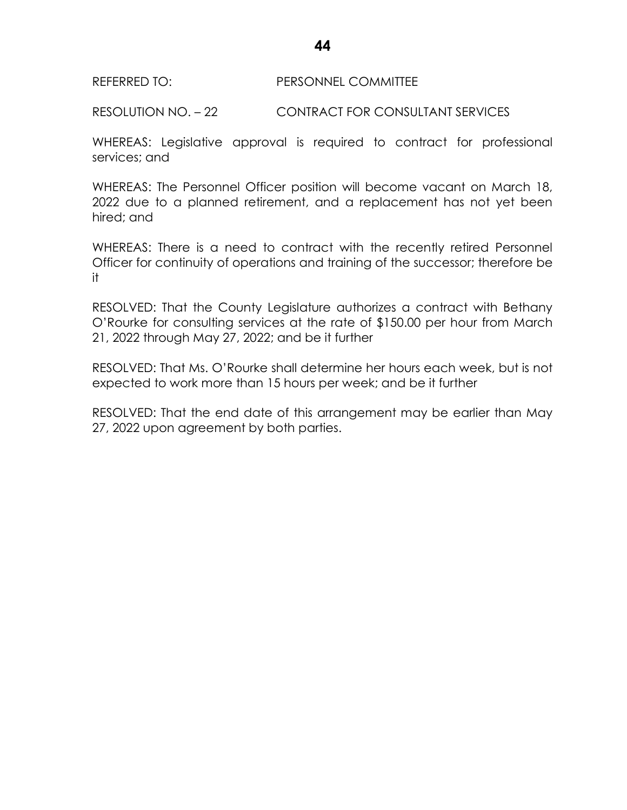### REFERRED TO: PERSONNEL COMMITTEE

RESOLUTION NO. – 22 CONTRACT FOR CONSULTANT SERVICES

WHEREAS: Legislative approval is required to contract for professional services; and

WHEREAS: The Personnel Officer position will become vacant on March 18, 2022 due to a planned retirement, and a replacement has not yet been hired; and

WHEREAS: There is a need to contract with the recently retired Personnel Officer for continuity of operations and training of the successor; therefore be it

RESOLVED: That the County Legislature authorizes a contract with Bethany O'Rourke for consulting services at the rate of \$150.00 per hour from March 21, 2022 through May 27, 2022; and be it further

RESOLVED: That Ms. O'Rourke shall determine her hours each week, but is not expected to work more than 15 hours per week; and be it further

RESOLVED: That the end date of this arrangement may be earlier than May 27, 2022 upon agreement by both parties.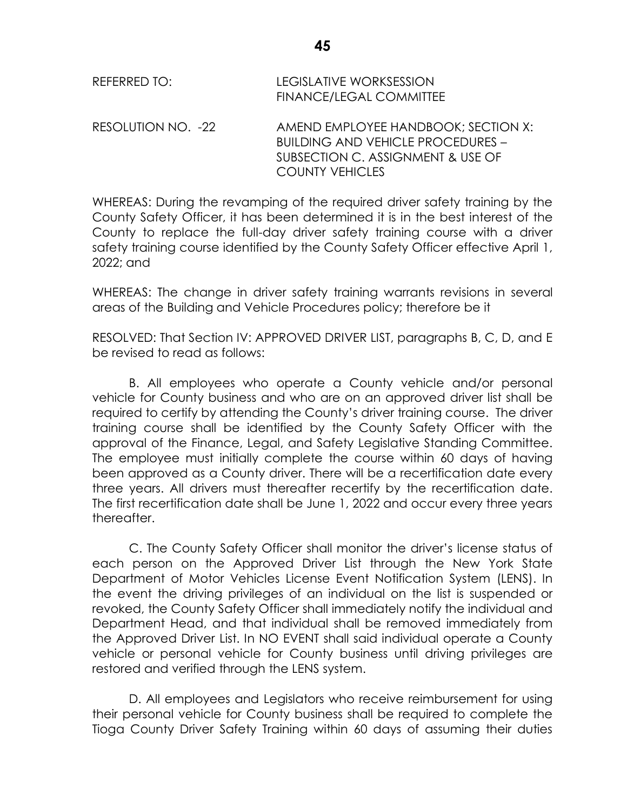| REFERRED TO:       | LEGISLATIVE WORKSESSION<br>FINANCE/LEGAL COMMITTEE                                                                                             |
|--------------------|------------------------------------------------------------------------------------------------------------------------------------------------|
| RESOLUTION NO. -22 | AMEND EMPLOYEE HANDBOOK; SECTION X:<br><b>BUILDING AND VEHICLE PROCEDURES -</b><br>SUBSECTION C. ASSIGNMENT & USE OF<br><b>COUNTY VEHICLES</b> |

WHEREAS: During the revamping of the required driver safety training by the County Safety Officer, it has been determined it is in the best interest of the County to replace the full-day driver safety training course with a driver safety training course identified by the County Safety Officer effective April 1, 2022; and

WHEREAS: The change in driver safety training warrants revisions in several areas of the Building and Vehicle Procedures policy; therefore be it

RESOLVED: That Section IV: APPROVED DRIVER LIST, paragraphs B, C, D, and E be revised to read as follows:

B. All employees who operate a County vehicle and/or personal vehicle for County business and who are on an approved driver list shall be required to certify by attending the County's driver training course. The driver training course shall be identified by the County Safety Officer with the approval of the Finance, Legal, and Safety Legislative Standing Committee. The employee must initially complete the course within 60 days of having been approved as a County driver. There will be a recertification date every three years. All drivers must thereafter recertify by the recertification date. The first recertification date shall be June 1, 2022 and occur every three years thereafter.

C. The County Safety Officer shall monitor the driver's license status of each person on the Approved Driver List through the New York State Department of Motor Vehicles License Event Notification System (LENS). In the event the driving privileges of an individual on the list is suspended or revoked, the County Safety Officer shall immediately notify the individual and Department Head, and that individual shall be removed immediately from the Approved Driver List. In NO EVENT shall said individual operate a County vehicle or personal vehicle for County business until driving privileges are restored and verified through the LENS system.

D. All employees and Legislators who receive reimbursement for using their personal vehicle for County business shall be required to complete the Tioga County Driver Safety Training within 60 days of assuming their duties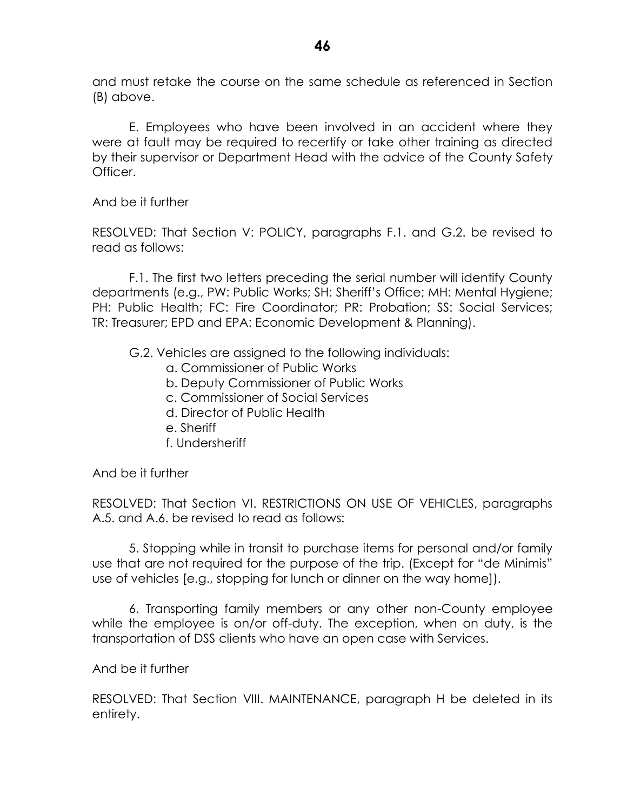and must retake the course on the same schedule as referenced in Section (B) above.

E. Employees who have been involved in an accident where they were at fault may be required to recertify or take other training as directed by their supervisor or Department Head with the advice of the County Safety Officer.

And be it further

RESOLVED: That Section V: POLICY, paragraphs F.1. and G.2. be revised to read as follows:

F.1. The first two letters preceding the serial number will identify County departments (e.g., PW: Public Works; SH: Sheriff's Office; MH: Mental Hygiene; PH: Public Health; FC: Fire Coordinator; PR: Probation; SS: Social Services; TR: Treasurer; EPD and EPA: Economic Development & Planning).

- G.2. Vehicles are assigned to the following individuals:
	- a. Commissioner of Public Works
	- b. Deputy Commissioner of Public Works
	- c. Commissioner of Social Services
	- d. Director of Public Health
	- e. Sheriff
	- f. Undersheriff

And be it further

RESOLVED: That Section VI. RESTRICTIONS ON USE OF VEHICLES, paragraphs A.5. and A.6. be revised to read as follows:

5. Stopping while in transit to purchase items for personal and/or family use that are not required for the purpose of the trip. (Except for "de Minimis" use of vehicles [e.g., stopping for lunch or dinner on the way home]).

6. Transporting family members or any other non-County employee while the employee is on/or off-duty. The exception, when on duty, is the transportation of DSS clients who have an open case with Services.

And be it further

RESOLVED: That Section VIII. MAINTENANCE, paragraph H be deleted in its entirety.